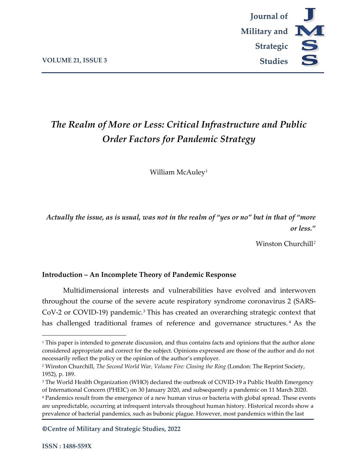

# *The Realm of More or Less: Critical Infrastructure and Public Order Factors for Pandemic Strategy*

William McAuley<sup>[1](#page-0-0)</sup>

*Actually the issue, as is usual, was not in the realm of "yes or no" but in that of "more or less."*

Winston Churchill*[2](#page-0-1)*

# **Introduction – An Incomplete Theory of Pandemic Response**

Multidimensional interests and vulnerabilities have evolved and interwoven throughout the course of the severe acute respiratory syndrome coronavirus 2 (SARS-CoV-2 or COVID-19) pandemic.[3](#page-0-2) This has created an overarching strategic context that has challenged traditional frames of reference and governance structures.<sup>[4](#page-0-3)</sup> As the

**©Centre of Military and Strategic Studies, 2022**

<span id="page-0-0"></span><sup>&</sup>lt;sup>1</sup> This paper is intended to generate discussion, and thus contains facts and opinions that the author alone considered appropriate and correct for the subject. Opinions expressed are those of the author and do not necessarily reflect the policy or the opinion of the author's employer.

<span id="page-0-1"></span><sup>2</sup> Winston Churchill, *The Second World War, Volume Fire: Closing the Ring* (London: The Reprint Society, 1952), p. 189.

<span id="page-0-2"></span><sup>&</sup>lt;sup>3</sup> The World Health Organization (WHO) declared the outbreak of COVID-19 a Public Health Emergency of International Concern (PHEIC) on 30 January 2020, and subsequently a pandemic on 11 March 2020.

<span id="page-0-3"></span><sup>4</sup> Pandemics result from the emergence of a new human virus or bacteria with global spread. These events are unpredictable, occurring at infrequent intervals throughout human history. Historical records show a prevalence of bacterial pandemics, such as bubonic plague. However, most pandemics within the last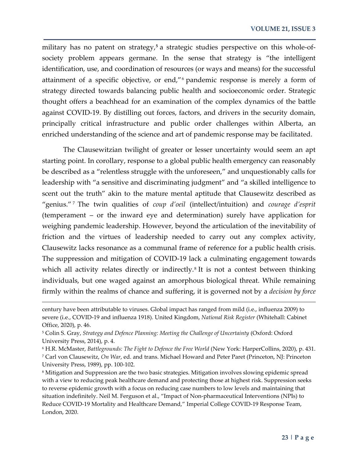military has no patent on strategy,**[5](#page-1-0)** a strategic studies perspective on this whole-ofsociety problem appears germane. In the sense that strategy is "the intelligent identification, use, and coordination of resources (or ways and means) for the successful attainment of a specific objective, or end,"[6](#page-1-1) pandemic response is merely a form of strategy directed towards balancing public health and socioeconomic order. Strategic thought offers a beachhead for an examination of the complex dynamics of the battle against COVID-19. By distilling out forces, factors, and drivers in the security domain, principally critical infrastructure and public order challenges within Alberta, an enriched understanding of the science and art of pandemic response may be facilitated.

The Clausewitzian twilight of greater or lesser uncertainty would seem an apt starting point. In corollary, response to a global public health emergency can reasonably be described as a "relentless struggle with the unforeseen," and unquestionably calls for leadership with "a sensitive and discriminating judgment" and "a skilled intelligence to scent out the truth" akin to the mature mental aptitude that Clausewitz described as "genius." [7](#page-1-2) The twin qualities of *coup d'oeil* (intellect/intuition) and *courage d'esprit* (temperament – or the inward eye and determination) surely have application for weighing pandemic leadership. However, beyond the articulation of the inevitability of friction and the virtues of leadership needed to carry out any complex activity, Clausewitz lacks resonance as a communal frame of reference for a public health crisis. The suppression and mitigation of COVID-19 lack a culminating engagement towards which all activity relates directly or indirectly.<sup>[8](#page-1-3)</sup> It is not a contest between thinking individuals, but one waged against an amorphous biological threat. While remaining firmly within the realms of chance and suffering, it is governed not by a *decision by force* 

century have been attributable to viruses. Global impact has ranged from mild (i.e., influenza 2009) to severe (i.e., COVID-19 and influenza 1918). United Kingdom, *National Risk Register* (Whitehall: Cabinet Office, 2020), p. 46.

<span id="page-1-0"></span><sup>5</sup> Colin S. Gray, *Strategy and Defence Planning: Meeting the Challenge of Uncertainty* (Oxford: Oxford University Press, 2014), p. 4.

<span id="page-1-2"></span><span id="page-1-1"></span><sup>6</sup> H.R. McMaster, *Battlegrounds: The Fight to Defence the Free World* (New York: HarperCollins, 2020), p. 431. <sup>7</sup> Carl von Clausewitz, *On War*, ed. and trans. Michael Howard and Peter Paret (Princeton, NJ: Princeton University Press, 1989), pp. 100-102.

<span id="page-1-3"></span><sup>8</sup> Mitigation and Suppression are the two basic strategies. Mitigation involves slowing epidemic spread with a view to reducing peak healthcare demand and protecting those at highest risk. Suppression seeks to reverse epidemic growth with a focus on reducing case numbers to low levels and maintaining that situation indefinitely. Neil M. Ferguson et al., "Impact of Non-pharmaceutical Interventions (NPIs) to Reduce COVID-19 Mortality and Healthcare Demand," Imperial College COVID-19 Response Team, London, 2020.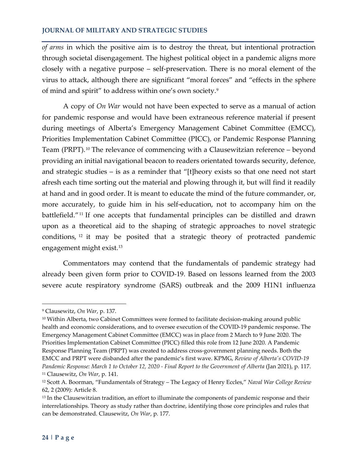*of arms* in which the positive aim is to destroy the threat, but intentional protraction through societal disengagement. The highest political object in a pandemic aligns more closely with a negative purpose – self-preservation. There is no moral element of the virus to attack, although there are significant "moral forces" and "effects in the sphere of mind and spirit" to address within one's own society.[9](#page-2-0) 

A copy of *On War* would not have been expected to serve as a manual of action for pandemic response and would have been extraneous reference material if present during meetings of Alberta's Emergency Management Cabinet Committee (EMCC), Priorities Implementation Cabinet Committee (PICC), or Pandemic Response Planning Team (PRPT).<sup>[10](#page-2-1)</sup> The relevance of commencing with a Clausewitzian reference – beyond providing an initial navigational beacon to readers orientated towards security, defence, and strategic studies – is as a reminder that "[t]heory exists so that one need not start afresh each time sorting out the material and plowing through it, but will find it readily at hand and in good order. It is meant to educate the mind of the future commander, or, more accurately, to guide him in his self-education, not to accompany him on the battlefield."[11](#page-2-2) If one accepts that fundamental principles can be distilled and drawn upon as a theoretical aid to the shaping of strategic approaches to novel strategic conditions, [12](#page-2-3) it may be posited that a strategic theory of protracted pandemic engagement might exist.[13](#page-2-4)

Commentators may contend that the fundamentals of pandemic strategy had already been given form prior to COVID-19. Based on lessons learned from the 2003 severe acute respiratory syndrome (SARS) outbreak and the 2009 H1N1 influenza

<span id="page-2-0"></span><sup>9</sup> Clausewitz, *On War*, p. 137.

<span id="page-2-1"></span><sup>10</sup> Within Alberta, two Cabinet Committees were formed to facilitate decision-making around public health and economic considerations, and to oversee execution of the COVID-19 pandemic response. The Emergency Management Cabinet Committee (EMCC) was in place from 2 March to 9 June 2020. The Priorities Implementation Cabinet Committee (PICC) filled this role from 12 June 2020. A Pandemic Response Planning Team (PRPT) was created to address cross-government planning needs. Both the EMCC and PRPT were disbanded after the pandemic's first wave. KPMG, *Review of Alberta's COVID-19 Pandemic Response: March 1 to October 12, 2020 - Final Report to the Government of Alberta* (Jan 2021), p. 117. <sup>11</sup> Clausewitz, *On War*, p. 141.

<span id="page-2-3"></span><span id="page-2-2"></span><sup>12</sup> Scott A. Boorman, "Fundamentals of Strategy – The Legacy of Henry Eccles," *Naval War College Review* 62, 2 (2009): Article 8.

<span id="page-2-4"></span><sup>&</sup>lt;sup>13</sup> In the Clausewitzian tradition, an effort to illuminate the components of pandemic response and their interrelationships. Theory as study rather than doctrine, identifying those core principles and rules that can be demonstrated. Clausewitz, *On War*, p. 177.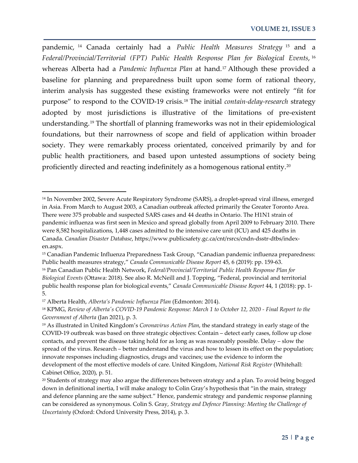pandemic, [14](#page-3-0) Canada certainly had a *Public Health Measures Strategy* [15](#page-3-1) and a *Federal/Provincial/Territorial (FPT) Public Health Response Plan for Biological Events*, [16](#page-3-2) whereas Alberta had a *Pandemic Influenza Plan* at hand.[17](#page-3-3) Although these provided a baseline for planning and preparedness built upon some form of rational theory, interim analysis has suggested these existing frameworks were not entirely "fit for purpose" to respond to the COVID-19 crisis.[18](#page-3-4) The initial *contain-delay-research* strategy adopted by most jurisdictions is illustrative of the limitations of pre-existent understanding.[19](#page-3-5) The shortfall of planning frameworks was not in their epidemiological foundations, but their narrowness of scope and field of application within broader society. They were remarkably process orientated, conceived primarily by and for public health practitioners, and based upon untested assumptions of society being proficiently directed and reacting indefinitely as a homogenous rational entity.[20](#page-3-6)

 $\overline{\phantom{a}}$ 

<span id="page-3-0"></span><sup>14</sup> In November 2002, Severe Acute Respiratory Syndrome (SARS), a droplet-spread viral illness, emerged in Asia. From March to August 2003, a Canadian outbreak affected primarily the Greater Toronto Area. There were 375 probable and suspected SARS cases and 44 deaths in Ontario. The H1N1 strain of pandemic influenza was first seen in Mexico and spread globally from April 2009 to February 2010. There were 8,582 hospitalizations, 1,448 cases admitted to the intensive care unit (ICU) and 425 deaths in Canada. *Canadian Disaster Database*, https://www.publicsafety.gc.ca/cnt/rsrcs/cndn-dsstr-dtbs/indexen.aspx.

<span id="page-3-1"></span><sup>15</sup> Canadian Pandemic Influenza Preparedness Task Group, "Canadian pandemic influenza preparedness: Public health measures strategy," *Canada Communicable Disease Report* 45, 6 (2019): pp. 159-63.

<span id="page-3-2"></span><sup>16</sup> Pan Canadian Public Health Network, *Federal/Provincial/Territorial Public Health Response Plan for Biological Events* (Ottawa: 2018). See also R. McNeill and J. Topping, "Federal, provincial and territorial public health response plan for biological events," *Canada Communicable Disease Report* 44, 1 (2018): pp. 1- 5.

<span id="page-3-3"></span><sup>17</sup> Alberta Health, *Alberta's Pandemic Influenza Plan* (Edmonton: 2014).

<span id="page-3-4"></span><sup>18</sup> KPMG, *Review of Alberta's COVID-19 Pandemic Response: March 1 to October 12, 2020 - Final Report to the Government of Alberta* (Jan 2021), p. 3.

<span id="page-3-5"></span><sup>19</sup> As illustrated in United Kingdom's *Coronavirus Action Plan*, the standard strategy in early stage of the COVID-19 outbreak was based on three strategic objectives: Contain – detect early cases, follow up close contacts, and prevent the disease taking hold for as long as was reasonably possible. Delay – slow the spread of the virus. Research – better understand the virus and how to lessen its effect on the population; innovate responses including diagnostics, drugs and vaccines; use the evidence to inform the development of the most effective models of care. United Kingdom, *National Risk Register* (Whitehall: Cabinet Office, 2020), p. 51.

<span id="page-3-6"></span><sup>20</sup> Students of strategy may also argue the differences between strategy and a plan. To avoid being bogged down in definitional inertia, I will make analogy to Colin Gray's hypothesis that "in the main, strategy and defence planning are the same subject." Hence, pandemic strategy and pandemic response planning can be considered as synonymous. Colin S. Gray, *Strategy and Defence Planning: Meeting the Challenge of Uncertainty* (Oxford: Oxford University Press, 2014), p. 3.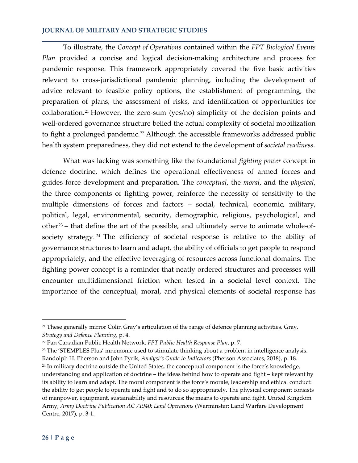To illustrate, the *Concept of Operations* contained within the *FPT Biological Events Plan* provided a concise and logical decision-making architecture and process for pandemic response. This framework appropriately covered the five basic activities relevant to cross-jurisdictional pandemic planning, including the development of advice relevant to feasible policy options, the establishment of programming, the preparation of plans, the assessment of risks, and identification of opportunities for collaboration.[21](#page-4-0) However, the zero-sum (yes/no) simplicity of the decision points and well-ordered governance structure belied the actual complexity of societal mobilization to fight a prolonged pandemic.<sup>[22](#page-4-1)</sup> Although the accessible frameworks addressed public health system preparedness, they did not extend to the development of *societal readiness*.

What was lacking was something like the foundational *fighting power* concept in defence doctrine, which defines the operational effectiveness of armed forces and guides force development and preparation. The *conceptual*, the *moral*, and the *physical*, the three components of fighting power, reinforce the necessity of sensitivity to the multiple dimensions of forces and factors – social, technical, economic, military, political, legal, environmental, security, demographic, religious, psychological, and  $other<sup>23</sup>$  – that define the art of the possible, and ultimately serve to animate whole-ofsociety strategy. [24](#page-4-3) The efficiency of societal response is relative to the ability of governance structures to learn and adapt, the ability of officials to get people to respond appropriately, and the effective leveraging of resources across functional domains. The fighting power concept is a reminder that neatly ordered structures and processes will encounter multidimensional friction when tested in a societal level context. The importance of the conceptual, moral, and physical elements of societal response has

<span id="page-4-0"></span><sup>21</sup> These generally mirror Colin Gray's articulation of the range of defence planning activities. Gray, *Strategy and Defence Planning*, p. 4.

<span id="page-4-1"></span><sup>22</sup> Pan Canadian Public Health Network, *FPT Public Health Response Plan*, p. 7.

<span id="page-4-3"></span><span id="page-4-2"></span><sup>&</sup>lt;sup>23</sup> The 'STEMPLES Plus' mnemonic used to stimulate thinking about a problem in intelligence analysis. Randolph H. Pherson and John Pyrik, *Analyst's Guide to Indicators* (Pherson Associates, 2018), p. 18. <sup>24</sup> In military doctrine outside the United States, the conceptual component is the force's knowledge, understanding and application of doctrine – the ideas behind how to operate and fight – kept relevant by its ability to learn and adapt. The moral component is the force's morale, leadership and ethical conduct: the ability to get people to operate and fight and to do so appropriately. The physical component consists of manpower, equipment, sustainability and resources: the means to operate and fight. United Kingdom Army, *Army Doctrine Publication AC 71940: Land Operations* (Warminster: Land Warfare Development Centre, 2017), p. 3-1.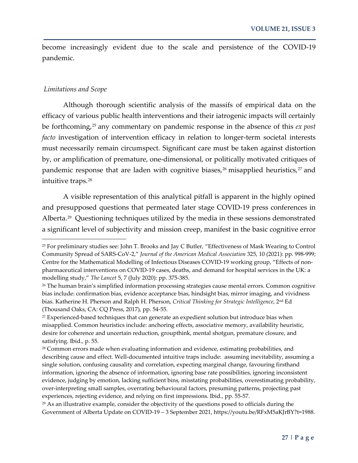become increasingly evident due to the scale and persistence of the COVID-19 pandemic.

#### *Limitations and Scope*

 $\overline{\phantom{a}}$ 

Although thorough scientific analysis of the massifs of empirical data on the efficacy of various public health interventions and their iatrogenic impacts will certainly be forthcoming,[25](#page-5-0) any commentary on pandemic response in the absence of this *ex post facto* investigation of intervention efficacy in relation to longer-term societal interests must necessarily remain circumspect. Significant care must be taken against distortion by, or amplification of premature, one-dimensional, or politically motivated critiques of pandemic response that are laden with cognitive biases,<sup>[26](#page-5-1)</sup> misapplied heuristics,<sup>[27](#page-5-2)</sup> and intuitive traps.[28](#page-5-3)

A visible representation of this analytical pitfall is apparent in the highly opined and presupposed questions that permeated later stage COVID-19 press conferences in Alberta.[29](#page-5-4) Questioning techniques utilized by the media in these sessions demonstrated a significant level of subjectivity and mission creep, manifest in the basic cognitive error

<span id="page-5-0"></span><sup>25</sup> For preliminary studies see: John T. Brooks and Jay C Butler, "Effectiveness of Mask Wearing to Control Community Spread of SARS-CoV-2," *Journal of the American Medical Association* 325, 10 (2021): pp. 998-999; Centre for the Mathematical Modelling of Infectious Diseases COVID-19 working group, "Effects of nonpharmaceutical interventions on COVID-19 cases, deaths, and demand for hospital services in the UK: a modelling study," *The Lancet* 5, 7 (July 2020): pp. 375-385.

<span id="page-5-1"></span><sup>&</sup>lt;sup>26</sup> The human brain's simplified information processing strategies cause mental errors. Common cognitive bias include: confirmation bias, evidence acceptance bias, hindsight bias, mirror imaging, and vividness bias. Katherine H. Pherson and Ralph H. Pherson, *Critical Thinking for Strategic Intelligence*, 2nd Ed (Thousand Oaks, CA: CQ Press, 2017), pp. 54-55.

<span id="page-5-2"></span><sup>&</sup>lt;sup>27</sup> Experienced-based techniques that can generate an expedient solution but introduce bias when misapplied. Common heuristics include: anchoring effects, associative memory, availability heuristic, desire for coherence and uncertain reduction, groupthink, mental shotgun, premature closure, and satisfying. Ibid., p. 55.

<span id="page-5-3"></span><sup>&</sup>lt;sup>28</sup> Common errors made when evaluating information and evidence, estimating probabilities, and describing cause and effect. Well-documented intuitive traps include: assuming inevitability, assuming a single solution, confusing causality and correlation, expecting marginal change, favouring firsthand information, ignoring the absence of information, ignoring base rate possibilities, ignoring inconsistent evidence, judging by emotion, lacking sufficient bins, misstating probabilities, overestimating probability, over-interpreting small samples, overrating behavioural factors, presuming patterns, projecting past experiences, rejecting evidence, and relying on first impressions. Ibid., pp. 55-57.

<span id="page-5-4"></span><sup>&</sup>lt;sup>29</sup> As an illustrative example, consider the objectivity of the questions posed to officials during the Government of Alberta Update on COVID-19 – 3 September 2021, https://youtu.be/RFxM5aKJrBY?t=1988.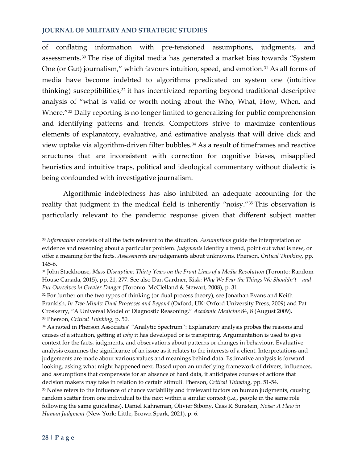of conflating information with pre-tensioned assumptions, judgments, and assessments.[30](#page-6-0) The rise of digital media has generated a market bias towards "System One (or Gut) journalism," which favours intuition, speed, and emotion.<sup>[31](#page-6-1)</sup> As all forms of media have become indebted to algorithms predicated on system one (intuitive thinking) susceptibilities, $32$  it has incentivized reporting beyond traditional descriptive analysis of "what is valid or worth noting about the Who, What, How, When, and Where."<sup>[33](#page-6-3)</sup> Daily reporting is no longer limited to generalizing for public comprehension and identifying patterns and trends. Competitors strive to maximize contentious elements of explanatory, evaluative, and estimative analysis that will drive click and view uptake via algorithm-driven filter bubbles.<sup>[34](#page-6-4)</sup> As a result of timeframes and reactive structures that are inconsistent with correction for cognitive biases, misapplied heuristics and intuitive traps, political and ideological commentary without dialectic is being confounded with investigative journalism.

Algorithmic indebtedness has also inhibited an adequate accounting for the reality that judgment in the medical field is inherently "noisy."<sup>[35](#page-6-5)</sup> This observation is particularly relevant to the pandemic response given that different subject matter

<span id="page-6-0"></span><sup>30</sup> *Information* consists of all the facts relevant to the situation. *Assumptions* guide the interpretation of evidence and reasoning about a particular problem. *Judgments* identify a trend, point out what is new, or offer a meaning for the facts. *Assessments* are judgements about unknowns. Pherson, *Critical Thinking*, pp. 145-6.

<span id="page-6-1"></span><sup>31</sup> John Stackhouse, *Mass Disruption: Thirty Years on the Front Lines of a Media Revolution* (Toronto: Random House Canada, 2015), pp. 21, 277. See also Dan Gardner, Risk: *Why We Fear the Things We Shouldn't – and Put Ourselves in Greater Danger* (Toronto: McClelland & Stewart, 2008), p. 31.

<span id="page-6-2"></span><sup>32</sup> For further on the two types of thinking (or dual process theory), see Jonathan Evans and Keith Frankish, *In Two Minds: Dual Processes and Beyond* (Oxford, UK: Oxford University Press, 2009) and Pat Croskerry, "A Universal Model of Diagnostic Reasoning," *Academic Medicine* 84, 8 (August 2009). <sup>33</sup> Pherson, *Critical Thinking*, p. 50.

<span id="page-6-5"></span><span id="page-6-4"></span><span id="page-6-3"></span><sup>34</sup> As noted in Pherson Associates' "Analytic Spectrum": Explanatory analysis probes the reasons and causes of a situation, getting at *why* it has developed or is transpiring. Argumentation is used to give context for the facts, judgments, and observations about patterns or changes in behaviour. Evaluative analysis examines the significance of an issue as it relates to the interests of a client. Interpretations and judgements are made about various values and meanings behind data. Estimative analysis is forward looking, asking what might happened next. Based upon an underlying framework of drivers, influences, and assumptions that compensate for an absence of hard data, it anticipates courses of actions that decision makers may take in relation to certain stimuli. Pherson, *Critical Thinking*, pp. 51-54. <sup>35</sup> Noise refers to the influence of chance variability and irrelevant factors on human judgments, causing random scatter from one individual to the next within a similar context (i.e., people in the same role following the same guidelines). Daniel Kahneman, Olivier Sibony, Cass R. Sunstein, *Noise: A Flaw in Human Judgment* (New York: Little, Brown Spark, 2021), p. 6.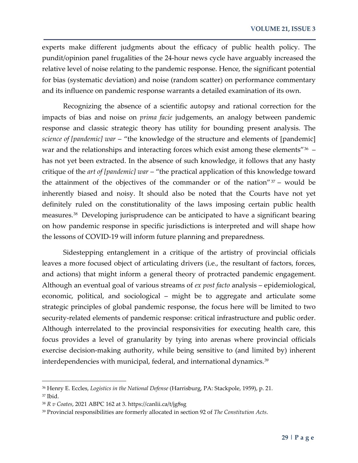experts make different judgments about the efficacy of public health policy. The pundit/opinion panel frugalities of the 24-hour news cycle have arguably increased the relative level of noise relating to the pandemic response. Hence, the significant potential for bias (systematic deviation) and noise (random scatter) on performance commentary and its influence on pandemic response warrants a detailed examination of its own.

Recognizing the absence of a scientific autopsy and rational correction for the impacts of bias and noise on *prima facie* judgements, an analogy between pandemic response and classic strategic theory has utility for bounding present analysis. The *science of [pandemic] war* – "the knowledge of the structure and elements of [pandemic] war and the relationships and interacting forces which exist among these elements"<sup>36</sup> – has not yet been extracted. In the absence of such knowledge, it follows that any hasty critique of the *art of [pandemic] war* – "the practical application of this knowledge toward the attainment of the objectives of the commander or of the nation" $37 37 -$  would be inherently biased and noisy. It should also be noted that the Courts have not yet definitely ruled on the constitutionality of the laws imposing certain public health measures.[38](#page-7-2) Developing jurisprudence can be anticipated to have a significant bearing on how pandemic response in specific jurisdictions is interpreted and will shape how the lessons of COVID-19 will inform future planning and preparedness.

Sidestepping entanglement in a critique of the artistry of provincial officials leaves a more focused object of articulating drivers (i.e., the resultant of factors, forces, and actions) that might inform a general theory of protracted pandemic engagement. Although an eventual goal of various streams of *ex post facto* analysis – epidemiological, economic, political, and sociological – might be to aggregate and articulate some strategic principles of global pandemic response, the focus here will be limited to two security-related elements of pandemic response: critical infrastructure and public order. Although interrelated to the provincial responsivities for executing health care, this focus provides a level of granularity by tying into arenas where provincial officials exercise decision-making authority, while being sensitive to (and limited by) inherent interdependencies with municipal, federal, and international dynamics.<sup>[39](#page-7-3)</sup>

<span id="page-7-0"></span><sup>36</sup> Henry E. Eccles, *Logistics in the National Defense* (Harrisburg, PA: Stackpole, 1959), p. 21.

<span id="page-7-1"></span><sup>37</sup> Ibid.

<span id="page-7-2"></span><sup>38</sup> *R v Coates*, 2021 ABPC 162 at 3. https://canlii.ca/t/jg8sg

<span id="page-7-3"></span><sup>39</sup> Provincial responsibilities are formerly allocated in section 92 of *The Constitution Acts*.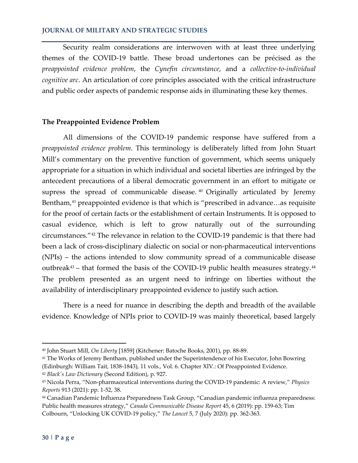Security realm considerations are interwoven with at least three underlying themes of the COVID-19 battle. These broad undertones can be précised as the *preappointed evidence problem*, the *Cynefin circumstance*, and a *collective-to-individual cognitive arc*. An articulation of core principles associated with the critical infrastructure and public order aspects of pandemic response aids in illuminating these key themes.

#### **The Preappointed Evidence Problem**

All dimensions of the COVID-19 pandemic response have suffered from a *preappointed evidence problem*. This terminology is deliberately lifted from John Stuart Mill's commentary on the preventive function of government, which seems uniquely appropriate for a situation in which individual and societal liberties are infringed by the antecedent precautions of a liberal democratic government in an effort to mitigate or supress the spread of communicable disease.<sup>[40](#page-8-0)</sup> Originally articulated by Jeremy Bentham,<sup>[41](#page-8-1)</sup> preappointed evidence is that which is "prescribed in advance...as requisite for the proof of certain facts or the establishment of certain Instruments. It is opposed to casual evidence, which is left to grow naturally out of the surrounding circumstances."[42](#page-8-2) The relevance in relation to the COVID-19 pandemic is that there had been a lack of cross-disciplinary dialectic on social or non-pharmaceutical interventions (NPIs) – the actions intended to slow community spread of a communicable disease outbreak $43$  – that formed the basis of the COVID-19 public health measures strategy. $44$ The problem presented as an urgent need to infringe on liberties without the availability of interdisciplinary preappointed evidence to justify such action.

There is a need for nuance in describing the depth and breadth of the available evidence. Knowledge of NPIs prior to COVID-19 was mainly theoretical, based largely

<span id="page-8-0"></span><sup>40</sup> John Stuart Mill, *On Liberty* [1859] (Kitchener: Batoche Books, 2001), pp. 88-89.

<span id="page-8-1"></span><sup>41</sup> The Works of Jeremy Bentham, published under the Superintendence of his Executor, John Bowring (Edinburgh: William Tait, 1838-1843), 11 vols., Vol. 6. Chapter XIV.: Of Preappointed Evidence. <sup>42</sup> *Black's Law Dictionary* (Second Edition), p. 927.

<span id="page-8-3"></span><span id="page-8-2"></span><sup>43</sup> Nicola Perra, "Non-pharmaceutical interventions during the COVID-19 pandemic: A review," *Physics Reports* 913 (2021): pp. 1-52, 38.

<span id="page-8-4"></span><sup>44</sup> Canadian Pandemic Influenza Preparedness Task Group, "Canadian pandemic influenza preparedness: Public health measures strategy," *Canada Communicable Disease Report* 45, 6 (2019): pp. 159-63; Tim Colbourn, "Unlocking UK COVID-19 policy," *The Lancet* 5, 7 (July 2020): pp. 362-363.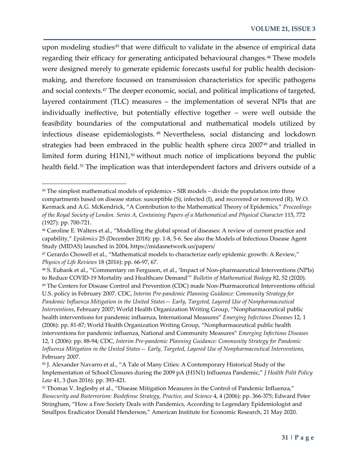upon modeling studies<sup>[45](#page-9-0)</sup> that were difficult to validate in the absence of empirical data regarding their efficacy for generating anticipated behavioural changes.<sup>[46](#page-9-1)</sup> These models were designed merely to generate epidemic forecasts useful for public health decisionmaking, and therefore focussed on transmission characteristics for specific pathogens and social contexts.[47](#page-9-2) The deeper economic, social, and political implications of targeted, layered containment (TLC) measures – the implementation of several NPIs that are individually ineffective, but potentially effective together – were well outside the feasibility boundaries of the computational and mathematical models utilized by infectious disease epidemiologists. [48](#page-9-3) Nevertheless, social distancing and lockdown strategies had been embraced in the public health sphere circa 2007<sup>[49](#page-9-4)</sup> and trialled in limited form during H1N1,<sup>[50](#page-9-5)</sup> without much notice of implications beyond the public health field.<sup>[51](#page-9-6)</sup> The implication was that interdependent factors and drivers outside of a

 $\overline{\phantom{a}}$ 

<span id="page-9-0"></span><sup>45</sup> The simplest mathematical models of epidemics – SIR models – divide the population into three compartments based on disease status: susceptible (S), infected (I), and recovered or removed (R). W.O. Kermack and A.G. McKendrick, "A Contribution to the Mathematical Theory of Epidemics," *Proceedings of the Royal Society of London. Series A, Containing Papers of a Mathematical and Physical Character* 115, 772 (1927): pp. 700-721.

<span id="page-9-1"></span><sup>46</sup> Caroline E. Walters et al., "Modelling the global spread of diseases: A review of current practice and capability," *Epidemics* 25 (December 2018): pp. 1-8, 5-6. See also the Models of Infectious Disease Agent Study (MIDAS) launched in 2004, https://midasnetwork.us/papers/

<span id="page-9-2"></span><sup>47</sup> Gerardo Chowell et al., "Mathematical models to characterize early epidemic growth: A Review," *Physics of Life Reviews* 18 (2016): pp. 66-97, 67.

<span id="page-9-3"></span><sup>48</sup> S. Eubank et al., "Commentary on Ferguson, et al., 'Impact of Non-pharmaceutical Interventions (NPIs) to Reduce COVID-19 Mortality and Healthcare Demand'" *Bulletin of Mathematical Biology* 82, 52 (2020).

<span id="page-9-4"></span><sup>49</sup> The Centers for Disease Control and Prevention (CDC) made Non-Pharmaceutical Interventions official U.S. policy in February 2007. CDC, *Interim Pre-pandemic Planning Guidance: Community Strategy for Pandemic Influenza Mitigation in the United States— Early, Targeted, Layered Use of Nonpharmaceutical Interventions*, February 2007; World Health Organization Writing Group, "Nonpharmaceutical public health interventions for pandemic influenza, International Measures" *Emerging Infectious Diseases* 12, 1 (2006): pp. 81-87; World Health Organization Writing Group, "Nonpharmaceutical public health interventions for pandemic influenza, National and Community Measures" *Emerging Infectious Diseases* 12, 1 (2006): pp. 88-94; CDC, *Interim Pre-pandemic Planning Guidance: Community Strategy for Pandemic Influenza Mitigation in the United States— Early, Targeted, Layered Use of Nonpharmaceutical Interventions*, February 2007.

<span id="page-9-5"></span><sup>50</sup> J. Alexander Navarro et al., "A Tale of Many Cities: A Contemporary Historical Study of the Implementation of School Closures during the 2009 pA (H1N1) Influenza Pandemic," *J Health Polit Policy Law* 41, 3 (Jun 2016): pp. 393-421.

<span id="page-9-6"></span><sup>51</sup> Thomas V. Inglesby et al., "Disease Mitigation Measures in the Control of Pandemic Influenza," *Biosecurity and Bioterrorism: Biodefense Strategy, Practice, and Science* 4, 4 (2006): pp. 366-375; Edward Peter Stringham, "How a Free Society Deals with Pandemics, According to Legendary Epidemiologist and Smallpox Eradicator Donald Henderson," American Institute for Economic Research, 21 May 2020.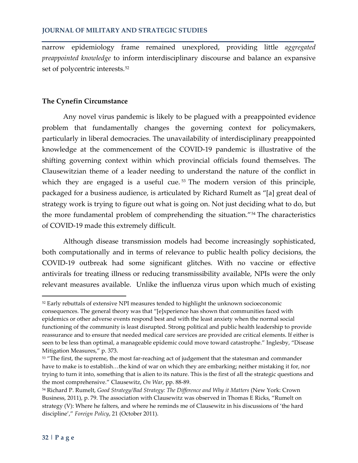narrow epidemiology frame remained unexplored, providing little *aggregated preappointed knowledge* to inform interdisciplinary discourse and balance an expansive set of polycentric interests.<sup>[52](#page-10-0)</sup>

## **The Cynefin Circumstance**

Any novel virus pandemic is likely to be plagued with a preappointed evidence problem that fundamentally changes the governing context for policymakers, particularly in liberal democracies. The unavailability of interdisciplinary preappointed knowledge at the commencement of the COVID-19 pandemic is illustrative of the shifting governing context within which provincial officials found themselves. The Clausewitzian theme of a leader needing to understand the nature of the conflict in which they are engaged is a useful cue.<sup>[53](#page-10-1)</sup> The modern version of this principle, packaged for a business audience, is articulated by Richard Rumelt as "[a] great deal of strategy work is trying to figure out what is going on. Not just deciding what to do, but the more fundamental problem of comprehending the situation."[54](#page-10-2) The characteristics of COVID-19 made this extremely difficult.

Although disease transmission models had become increasingly sophisticated, both computationally and in terms of relevance to public health policy decisions, the COVID-19 outbreak had some significant glitches. With no vaccine or effective antivirals for treating illness or reducing transmissibility available, NPIs were the only relevant measures available. Unlike the influenza virus upon which much of existing

<span id="page-10-0"></span><sup>52</sup> Early rebuttals of extensive NPI measures tended to highlight the unknown socioeconomic consequences. The general theory was that "[e]xperience has shown that communities faced with epidemics or other adverse events respond best and with the least anxiety when the normal social functioning of the community is least disrupted. Strong political and public health leadership to provide reassurance and to ensure that needed medical care services are provided are critical elements. If either is seen to be less than optimal, a manageable epidemic could move toward catastrophe." Inglesby, "Disease Mitigation Measures," p. 373.

<span id="page-10-1"></span><sup>&</sup>lt;sup>53</sup> "The first, the supreme, the most far-reaching act of judgement that the statesman and commander have to make is to establish…the kind of war on which they are embarking; neither mistaking it for, nor trying to turn it into, something that is alien to its nature. This is the first of all the strategic questions and the most comprehensive." Clausewitz, *On War*, pp. 88-89.

<span id="page-10-2"></span><sup>54</sup> Richard P. Rumelt, *Good Strategy/Bad Strategy: The Difference and Why it Matters* (New York: Crown Business, 2011), p. 79. The association with Clausewitz was observed in Thomas E Ricks, "Rumelt on strategy (V): Where he falters, and where he reminds me of Clausewitz in his discussions of 'the hard discipline'," *Foreign Policy*, 21 (October 2011).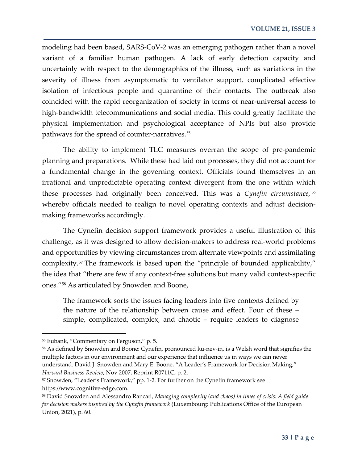modeling had been based, SARS-CoV-2 was an emerging pathogen rather than a novel variant of a familiar human pathogen. A lack of early detection capacity and uncertainly with respect to the demographics of the illness, such as variations in the severity of illness from asymptomatic to ventilator support, complicated effective isolation of infectious people and quarantine of their contacts. The outbreak also coincided with the rapid reorganization of society in terms of near-universal access to high-bandwidth telecommunications and social media. This could greatly facilitate the physical implementation and psychological acceptance of NPIs but also provide pathways for the spread of counter-narratives.<sup>[55](#page-11-0)</sup>

The ability to implement TLC measures overran the scope of pre-pandemic planning and preparations. While these had laid out processes, they did not account for a fundamental change in the governing context. Officials found themselves in an irrational and unpredictable operating context divergent from the one within which these processes had originally been conceived. This was a *Cynefin circumstance*, [56](#page-11-1) whereby officials needed to realign to novel operating contexts and adjust decisionmaking frameworks accordingly.

The Cynefin decision support framework provides a useful illustration of this challenge, as it was designed to allow decision-makers to address real-world problems and opportunities by viewing circumstances from alternate viewpoints and assimilating complexity.<sup>[57](#page-11-2)</sup> The framework is based upon the "principle of bounded applicability," the idea that "there are few if any context-free solutions but many valid context-specific ones."[58](#page-11-3) As articulated by Snowden and Boone,

The framework sorts the issues facing leaders into five contexts defined by the nature of the relationship between cause and effect. Four of these – simple, complicated, complex, and chaotic – require leaders to diagnose

<span id="page-11-0"></span><sup>55</sup> Eubank, "Commentary on Ferguson," p. 5.

<span id="page-11-1"></span><sup>56</sup> As defined by Snowden and Boone: Cynefin, pronounced ku-nev-in, is a Welsh word that signifies the multiple factors in our environment and our experience that influence us in ways we can never understand. David J. Snowden and Mary E. Boone, "A Leader's Framework for Decision Making," *Harvard Business Review*, Nov 2007, Reprint R0711C, p. 2.

<span id="page-11-2"></span><sup>57</sup> Snowden, "Leader's Framework," pp. 1-2. For further on the Cynefin framework see https://www.cognitive-edge.com.

<span id="page-11-3"></span><sup>58</sup> David Snowden and Alessandro Rancati, *Managing complexity (and chaos) in times of crisis: A field guide for decision makers inspired by the Cynefin framework* (Luxembourg: Publications Office of the European Union, 2021), p. 60.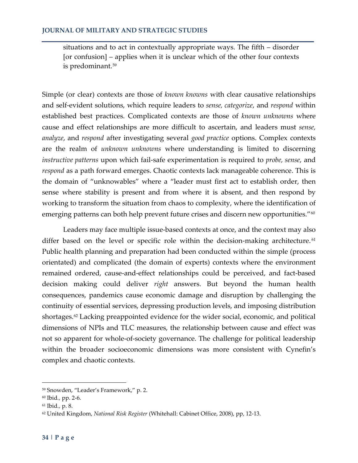situations and to act in contextually appropriate ways. The fifth – disorder [or confusion] – applies when it is unclear which of the other four contexts is predominant.[59](#page-12-0)

Simple (or clear) contexts are those of *known knowns* with clear causative relationships and self-evident solutions, which require leaders to *sense, categorize*, and *respond* within established best practices. Complicated contexts are those of *known unknowns* where cause and effect relationships are more difficult to ascertain, and leaders must *sense, analyze*, and *respond* after investigating several *good practice* options. Complex contexts are the realm of *unknown unknowns* where understanding is limited to discerning *instructive patterns* upon which fail-safe experimentation is required to *probe, sense*, and *respond* as a path forward emerges. Chaotic contexts lack manageable coherence. This is the domain of "unknowables" where a "leader must first act to establish order, then sense where stability is present and from where it is absent, and then respond by working to transform the situation from chaos to complexity, where the identification of emerging patterns can both help prevent future crises and discern new opportunities."<sup>[60](#page-12-1)</sup>

Leaders may face multiple issue-based contexts at once, and the context may also differ based on the level or specific role within the decision-making architecture.<sup>[61](#page-12-2)</sup> Public health planning and preparation had been conducted within the simple (process orientated) and complicated (the domain of experts) contexts where the environment remained ordered, cause-and-effect relationships could be perceived, and fact-based decision making could deliver *right* answers. But beyond the human health consequences, pandemics cause economic damage and disruption by challenging the continuity of essential services, depressing production levels, and imposing distribution shortages.<sup>[62](#page-12-3)</sup> Lacking preappointed evidence for the wider social, economic, and political dimensions of NPIs and TLC measures, the relationship between cause and effect was not so apparent for whole-of-society governance. The challenge for political leadership within the broader socioeconomic dimensions was more consistent with Cynefin's complex and chaotic contexts.

 $\overline{a}$ 

<span id="page-12-0"></span><sup>59</sup> Snowden, "Leader's Framework," p. 2.

<span id="page-12-1"></span><sup>60</sup> Ibid*.,* pp. 2-6.

<span id="page-12-2"></span><sup>61</sup> Ibid*.,* p. 8.

<span id="page-12-3"></span><sup>62</sup> United Kingdom, *National Risk Register* (Whitehall: Cabinet Office, 2008), pp, 12-13.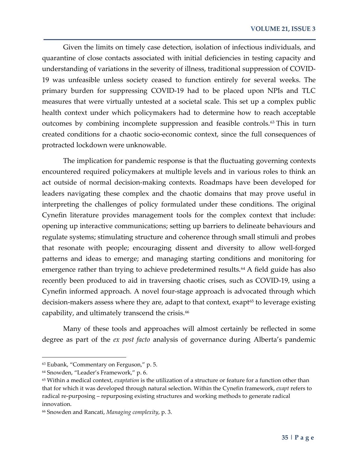Given the limits on timely case detection, isolation of infectious individuals, and quarantine of close contacts associated with initial deficiencies in testing capacity and understanding of variations in the severity of illness, traditional suppression of COVID-19 was unfeasible unless society ceased to function entirely for several weeks. The primary burden for suppressing COVID-19 had to be placed upon NPIs and TLC measures that were virtually untested at a societal scale. This set up a complex public health context under which policymakers had to determine how to reach acceptable outcomes by combining incomplete suppression and feasible controls.<sup>[63](#page-13-0)</sup> This in turn created conditions for a chaotic socio-economic context, since the full consequences of protracted lockdown were unknowable.

The implication for pandemic response is that the fluctuating governing contexts encountered required policymakers at multiple levels and in various roles to think an act outside of normal decision-making contexts. Roadmaps have been developed for leaders navigating these complex and the chaotic domains that may prove useful in interpreting the challenges of policy formulated under these conditions. The original Cynefin literature provides management tools for the complex context that include: opening up interactive communications; setting up barriers to delineate behaviours and regulate systems; stimulating structure and coherence through small stimuli and probes that resonate with people; encouraging dissent and diversity to allow well-forged patterns and ideas to emerge; and managing starting conditions and monitoring for emergence rather than trying to achieve predetermined results.<sup>[64](#page-13-1)</sup> A field guide has also recently been produced to aid in traversing chaotic crises, such as COVID-19, using a Cynefin informed approach. A novel four-stage approach is advocated through which decision-makers assess where they are, adapt to that context, exapt<sup>[65](#page-13-2)</sup> to leverage existing capability, and ultimately transcend the crisis.<sup>[66](#page-13-3)</sup>

Many of these tools and approaches will almost certainly be reflected in some degree as part of the *ex post facto* analysis of governance during Alberta's pandemic

<span id="page-13-0"></span><sup>63</sup> Eubank, "Commentary on Ferguson," p. 5.

<span id="page-13-1"></span><sup>64</sup> Snowden, "Leader's Framework," p. 6.

<span id="page-13-2"></span><sup>65</sup> Within a medical context, *exaptation* is the utilization of a structure or feature for a function other than that for which it was developed through natural selection. Within the Cynefin framework, *exapt* refers to radical re-purposing – repurposing existing structures and working methods to generate radical innovation.

<span id="page-13-3"></span><sup>66</sup> Snowden and Rancati, *Managing complexity*, p. 3.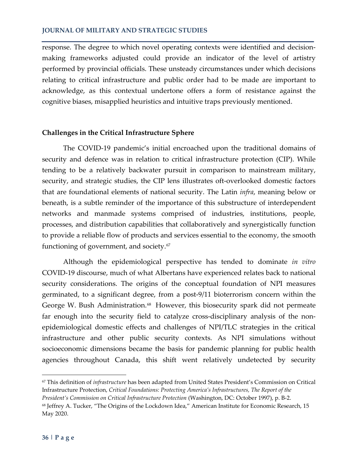response. The degree to which novel operating contexts were identified and decisionmaking frameworks adjusted could provide an indicator of the level of artistry performed by provincial officials. These unsteady circumstances under which decisions relating to critical infrastructure and public order had to be made are important to acknowledge, as this contextual undertone offers a form of resistance against the cognitive biases, misapplied heuristics and intuitive traps previously mentioned.

#### **Challenges in the Critical Infrastructure Sphere**

The COVID-19 pandemic's initial encroached upon the traditional domains of security and defence was in relation to critical infrastructure protection (CIP). While tending to be a relatively backwater pursuit in comparison to mainstream military, security, and strategic studies, the CIP lens illustrates oft-overlooked domestic factors that are foundational elements of national security. The Latin *infra*, meaning below or beneath, is a subtle reminder of the importance of this substructure of interdependent networks and manmade systems comprised of industries, institutions, people, processes, and distribution capabilities that collaboratively and synergistically function to provide a reliable flow of products and services essential to the economy, the smooth functioning of government, and society.<sup>[67](#page-14-0)</sup>

Although the epidemiological perspective has tended to dominate *in vitro* COVID-19 discourse, much of what Albertans have experienced relates back to national security considerations. The origins of the conceptual foundation of NPI measures germinated, to a significant degree, from a post-9/11 bioterrorism concern within the George W. Bush Administration.<sup>68</sup> However, this biosecurity spark did not permeate far enough into the security field to catalyze cross-disciplinary analysis of the nonepidemiological domestic effects and challenges of NPI/TLC strategies in the critical infrastructure and other public security contexts. As NPI simulations without socioeconomic dimensions became the basis for pandemic planning for public health agencies throughout Canada, this shift went relatively undetected by security

<span id="page-14-0"></span><sup>67</sup> This definition of *infrastructure* has been adapted from United States President's Commission on Critical Infrastructure Protection, *Critical Foundations: Protecting America's Infrastructures, The Report of the President's Commission on Critical Infrastructure Protection* (Washington, DC: October 1997), p. B-2.

<span id="page-14-1"></span><sup>68</sup> Jeffrey A. Tucker, "The Origins of the Lockdown Idea," American Institute for Economic Research, 15 May 2020.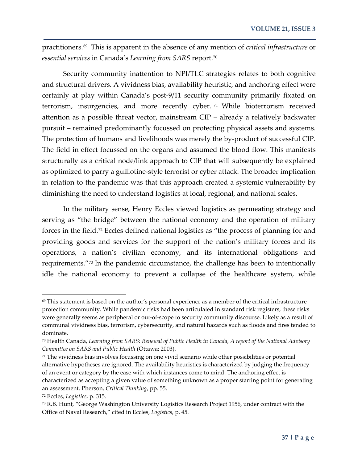practitioners.[69](#page-15-0) This is apparent in the absence of any mention of *critical infrastructure* or *essential services* in Canada's *Learning from SARS* report.[70](#page-15-1)

Security community inattention to NPI/TLC strategies relates to both cognitive and structural drivers. A vividness bias, availability heuristic, and anchoring effect were certainly at play within Canada's post-9/11 security community primarily fixated on terrorism, insurgencies, and more recently cyber. [71](#page-15-2) While bioterrorism received attention as a possible threat vector, mainstream CIP – already a relatively backwater pursuit – remained predominantly focussed on protecting physical assets and systems. The protection of humans and livelihoods was merely the by-product of successful CIP. The field in effect focussed on the organs and assumed the blood flow. This manifests structurally as a critical node/link approach to CIP that will subsequently be explained as optimized to parry a guillotine-style terrorist or cyber attack. The broader implication in relation to the pandemic was that this approach created a systemic vulnerability by diminishing the need to understand logistics at local, regional, and national scales.

In the military sense, Henry Eccles viewed logistics as permeating strategy and serving as "the bridge" between the national economy and the operation of military forces in the field.<sup>[72](#page-15-3)</sup> Eccles defined national logistics as "the process of planning for and providing goods and services for the support of the nation's military forces and its operations, a nation's civilian economy, and its international obligations and requirements."[73](#page-15-4) In the pandemic circumstance, the challenge has been to intentionally idle the national economy to prevent a collapse of the healthcare system, while

<span id="page-15-0"></span> $69$  This statement is based on the author's personal experience as a member of the critical infrastructure protection community. While pandemic risks had been articulated in standard risk registers, these risks were generally seems as peripheral or out-of-scope to security community discourse. Likely as a result of communal vividness bias, terrorism, cybersecurity, and natural hazards such as floods and fires tended to dominate.

<span id="page-15-1"></span><sup>70</sup> Health Canada, *Learning from SARS: Renewal of Public Health in Canada, A report of the National Advisory Committee on SARS and Public Health* (Ottawa: 2003).

<span id="page-15-2"></span><sup>71</sup> The vividness bias involves focussing on one vivid scenario while other possibilities or potential alternative hypotheses are ignored. The availability heuristics is characterized by judging the frequency of an event or category by the ease with which instances come to mind. The anchoring effect is characterized as accepting a given value of something unknown as a proper starting point for generating an assessment. Pherson, *Critical Thinking*, pp. 55.

<span id="page-15-3"></span><sup>72</sup> Eccles, *Logistics*, p. 315.

<span id="page-15-4"></span><sup>73</sup> R.B. Hunt, "George Washington University Logistics Research Project 1956, under contract with the Office of Naval Research," cited in Eccles, *Logistics*, p. 45.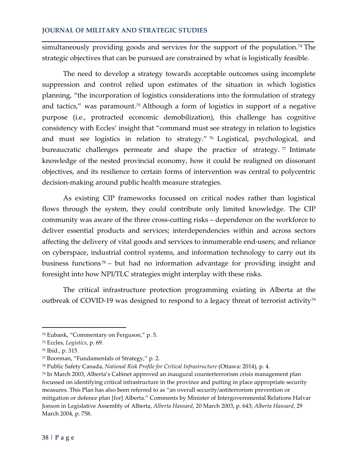simultaneously providing goods and services for the support of the population.<sup>[74](#page-16-0)</sup> The strategic objectives that can be pursued are constrained by what is logistically feasible.

The need to develop a strategy towards acceptable outcomes using incomplete suppression and control relied upon estimates of the situation in which logistics planning, "the incorporation of logistics considerations into the formulation of strategy and tactics," was paramount.[75](#page-16-1) Although a form of logistics in support of a negative purpose (i.e., protracted economic demobilization), this challenge has cognitive consistency with Eccles' insight that "command must see strategy in relation to logistics and must see logistics in relation to strategy." [76](#page-16-2) Logistical, psychological, and bureaucratic challenges permeate and shape the practice of strategy.<sup>[77](#page-16-3)</sup> Intimate knowledge of the nested provincial economy, how it could be realigned on dissonant objectives, and its resilience to certain forms of intervention was central to polycentric decision-making around public health measure strategies.

As existing CIP frameworks focussed on critical nodes rather than logistical flows through the system, they could contribute only limited knowledge. The CIP community was aware of the three cross-cutting risks – dependence on the workforce to deliver essential products and services; interdependencies within and across sectors affecting the delivery of vital goods and services to innumerable end-users; and reliance on cyberspace, industrial control systems, and information technology to carry out its business functions [78](#page-16-4) – but had no information advantage for providing insight and foresight into how NPI/TLC strategies might interplay with these risks.

The critical infrastructure protection programming existing in Alberta at the outbreak of COVID-19 was designed to respond to a legacy threat of terrorist activity<sup>[79](#page-16-5)</sup>

<span id="page-16-0"></span><sup>74</sup> Eubank, "Commentary on Ferguson," p. 5.

<span id="page-16-1"></span><sup>75</sup> Eccles, *Logistics*, p. 69.

<span id="page-16-2"></span><sup>76</sup> Ibid*.*, p. 315.

<span id="page-16-3"></span><sup>77</sup> Boorman, "Fundamentals of Strategy," p. 2.

<span id="page-16-4"></span><sup>78</sup> Public Safety Canada, *National Risk Profile for Critical Infrastructure* (Ottawa: 2014), p. 4.

<span id="page-16-5"></span><sup>79</sup> In March 2003, Alberta's Cabinet approved an inaugural counterterrorism crisis management plan focussed on identifying critical infrastructure in the province and putting in place appropriate security measures. This Plan has also been referred to as "an overall security/antiterrorism prevention or mitigation or defence plan [for] Alberta." Comments by Minister of Intergovernmental Relations Halvar Jonson in Legislative Assembly of Alberta, *Alberta Hansard,* 20 March 2003, p. 643; *Alberta Hansard,* 29 March 2004, p. 758.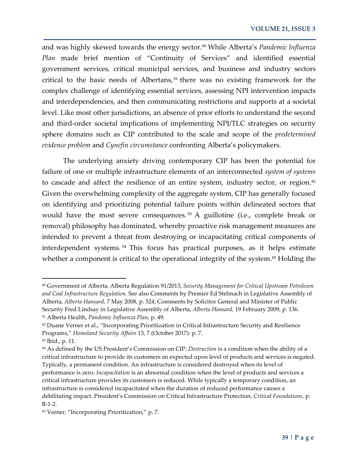and was highly skewed towards the energy sector.<sup>[80](#page-17-0)</sup> While Alberta's *Pandemic Influenza Plan* made brief mention of "Continuity of Services" and identified essential government services, critical municipal services, and business and industry sectors critical to the basic needs of Albertans, [81](#page-17-1) there was no existing framework for the complex challenge of identifying essential services, assessing NPI intervention impacts and interdependencies, and then communicating restrictions and supports at a societal level. Like most other jurisdictions, an absence of prior efforts to understand the second and third-order societal implications of implementing NPI/TLC strategies on security sphere domains such as CIP contributed to the scale and scope of the *predetermined evidence problem* and *Cynefin circumstance* confronting Alberta's policymakers.

The underlying anxiety driving contemporary CIP has been the potential for failure of one or multiple infrastructure elements of an interconnected *system of systems* to cascade and affect the resilience of an entire system, industry sector, or region.<sup>[82](#page-17-2)</sup> Given the overwhelming complexity of the aggregate system, CIP has generally focused on identifying and prioritizing potential failure points within delineated sectors that would have the most severe consequences.<sup>[83](#page-17-3)</sup> A guillotine (i.e., complete break or removal) philosophy has dominated, whereby proactive risk management measures are intended to prevent a threat from destroying or incapacitating critical components of interdependent systems. [84](#page-17-4) This focus has practical purposes, as it helps estimate whether a component is critical to the operational integrity of the system.<sup>85</sup> Holding the

<span id="page-17-0"></span><sup>80</sup> Government of Alberta, Alberta Regulation 91/2013, *Security Management for Critical Upstream Petroleum and Coal Infrastructure Regulation*. See also Comments by Premier Ed Stelmach in Legislative Assembly of Alberta, *Alberta Hansard,* 7 May 2008, p. 524; Comments by Solicitor General and Minister of Public Security Fred Lindsay in Legislative Assembly of Alberta, *Alberta Hansard,* 19 February 2009, p. 136. <sup>81</sup> Alberta Health, *Pandemic Influenza Plan*, p. 49.

<span id="page-17-2"></span><span id="page-17-1"></span><sup>82</sup> Duane Verner et al., "Incorporating Prioritization in Critical Infrastructure Security and Resilience Programs," *Homeland Security Affairs* 13, 7 (October 2017): p. 7.

<span id="page-17-3"></span><sup>83</sup> Ibid., p. 11.

<span id="page-17-4"></span><sup>84</sup> As defined by the US President's Commission on CIP: *Destruction* is a condition when the ability of a critical infrastructure to provide its customers an expected upon level of products and services is negated. Typically, a permanent condition. An infrastructure is considered destroyed when its level of performance is zero. *Incapacitation* is an abnormal condition when the level of products and services a critical infrastructure provides its customers is reduced. While typically a temporary condition, an infrastructure is considered incapacitated when the duration of reduced performance causes a debilitating impact. President's Commission on Critical Infrastructure Protection, *Critical Foundations*, p. B-1-2.

<span id="page-17-5"></span><sup>85</sup> Verner, "Incorporating Prioritization," p. 7.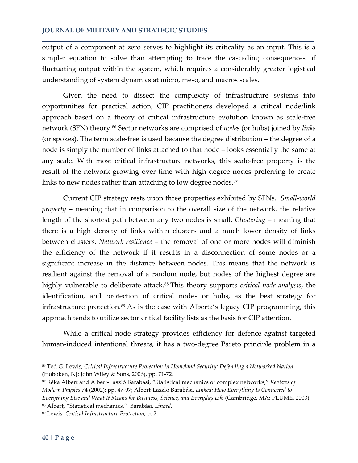output of a component at zero serves to highlight its criticality as an input. This is a simpler equation to solve than attempting to trace the cascading consequences of fluctuating output within the system, which requires a considerably greater logistical understanding of system dynamics at micro, meso, and macros scales.

Given the need to dissect the complexity of infrastructure systems into opportunities for practical action, CIP practitioners developed a critical node/link approach based on a theory of critical infrastructure evolution known as scale-free network (SFN) theory.[86](#page-18-0) Sector networks are comprised of *nodes* (or hubs) joined by *links* (or spokes). The term scale-free is used because the degree distribution – the degree of a node is simply the number of links attached to that node – looks essentially the same at any scale. With most critical infrastructure networks, this scale-free property is the result of the network growing over time with high degree nodes preferring to create links to new nodes rather than attaching to low degree nodes.<sup>[87](#page-18-1)</sup>

Current CIP strategy rests upon three properties exhibited by SFNs. *Small-world property* – meaning that in comparison to the overall size of the network, the relative length of the shortest path between any two nodes is small. *Clustering* – meaning that there is a high density of links within clusters and a much lower density of links between clusters. *Network resilience* – the removal of one or more nodes will diminish the efficiency of the network if it results in a disconnection of some nodes or a significant increase in the distance between nodes. This means that the network is resilient against the removal of a random node, but nodes of the highest degree are highly vulnerable to deliberate attack.<sup>[88](#page-18-2)</sup> This theory supports *critical node analysis*, the identification, and protection of critical nodes or hubs, as the best strategy for infrastructure protection.<sup>[89](#page-18-3)</sup> As is the case with Alberta's legacy CIP programming, this approach tends to utilize sector critical facility lists as the basis for CIP attention.

While a critical node strategy provides efficiency for defence against targeted human-induced intentional threats, it has a two-degree Pareto principle problem in a

<span id="page-18-0"></span><sup>86</sup> Ted G. Lewis, *Critical Infrastructure Protection in Homeland Security: Defending a Networked Nation* (Hoboken, NJ: John Wiley & Sons, 2006), pp. 71-72.

<span id="page-18-1"></span><sup>87</sup> Réka Albert and Albert-László Barabási, "Statistical mechanics of complex networks," *Reviews of Modern Physics* 74 (2002): pp. 47-97; Albert-Laszlo Barabási, *Linked: How Everything Is Connected to Everything Else and What It Means for Business, Science, and Everyday Life* (Cambridge, MA: PLUME, 2003). <sup>88</sup> Albert, "Statistical mechanics." Barabási, *Linked.* 

<span id="page-18-3"></span><span id="page-18-2"></span><sup>89</sup> Lewis, *Critical Infrastructure Protection*, p. 2.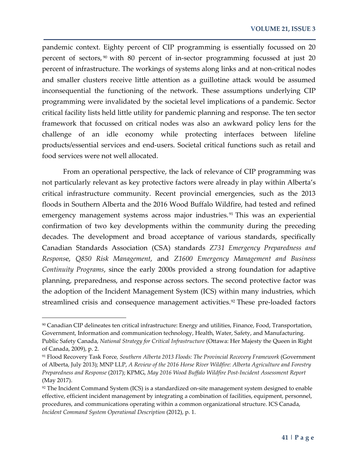pandemic context. Eighty percent of CIP programming is essentially focussed on 20 percent of sectors, [90](#page-19-0) with 80 percent of in-sector programming focussed at just 20 percent of infrastructure. The workings of systems along links and at non-critical nodes and smaller clusters receive little attention as a guillotine attack would be assumed inconsequential the functioning of the network. These assumptions underlying CIP programming were invalidated by the societal level implications of a pandemic. Sector critical facility lists held little utility for pandemic planning and response. The ten sector framework that focussed on critical nodes was also an awkward policy lens for the challenge of an idle economy while protecting interfaces between lifeline products/essential services and end-users. Societal critical functions such as retail and food services were not well allocated.

From an operational perspective, the lack of relevance of CIP programming was not particularly relevant as key protective factors were already in play within Alberta's critical infrastructure community. Recent provincial emergencies, such as the 2013 floods in Southern Alberta and the 2016 Wood Buffalo Wildfire, had tested and refined emergency management systems across major industries.<sup>[91](#page-19-1)</sup> This was an experiential confirmation of two key developments within the community during the preceding decades. The development and broad acceptance of various standards, specifically Canadian Standards Association (CSA) standards *Z731 Emergency Preparedness and Respons*e, *Q850 Risk Management*, and *Z1600 Emergency Management and Business Continuity Programs*, since the early 2000s provided a strong foundation for adaptive planning, preparedness, and response across sectors. The second protective factor was the adoption of the Incident Management System (ICS) within many industries, which streamlined crisis and consequence management activities.<sup>[92](#page-19-2)</sup> These pre-loaded factors

<span id="page-19-0"></span><sup>90</sup> Canadian CIP delineates ten critical infrastructure: Energy and utilities, Finance, Food, Transportation, Government, Information and communication technology, Health, Water, Safety, and Manufacturing. Public Safety Canada, *National Strategy for Critical Infrastructure* (Ottawa: Her Majesty the Queen in Right of Canada, 2009), p. 2.

<span id="page-19-1"></span><sup>91</sup> Flood Recovery Task Force*, Southern Alberta 2013 Floods: The Provincial Recovery Framework* (Government of Alberta, July 2013); MNP LLP, *A Review of the 2016 Horse River Wildfire: Alberta Agriculture and Forestry Preparedness and Response* (2017); KPMG, *May 2016 Wood Buffalo Wildfire Post-Incident Assessment Report* (May 2017).

<span id="page-19-2"></span><sup>92</sup> The Incident Command System (ICS) is a standardized on-site management system designed to enable effective, efficient incident management by integrating a combination of facilities, equipment, personnel, procedures, and communications operating within a common organizational structure. ICS Canada, *Incident Command System Operational Description* (2012), p. 1.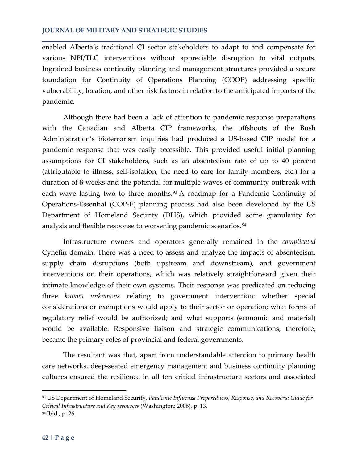enabled Alberta's traditional CI sector stakeholders to adapt to and compensate for various NPI/TLC interventions without appreciable disruption to vital outputs. Ingrained business continuity planning and management structures provided a secure foundation for Continuity of Operations Planning (COOP) addressing specific vulnerability, location, and other risk factors in relation to the anticipated impacts of the pandemic.

Although there had been a lack of attention to pandemic response preparations with the Canadian and Alberta CIP frameworks, the offshoots of the Bush Administration's bioterrorism inquiries had produced a US-based CIP model for a pandemic response that was easily accessible. This provided useful initial planning assumptions for CI stakeholders, such as an absenteeism rate of up to 40 percent (attributable to illness, self-isolation, the need to care for family members, etc.) for a duration of 8 weeks and the potential for multiple waves of community outbreak with each wave lasting two to three months.<sup>[93](#page-20-0)</sup> A roadmap for a Pandemic Continuity of Operations-Essential (COP-E) planning process had also been developed by the US Department of Homeland Security (DHS), which provided some granularity for analysis and flexible response to worsening pandemic scenarios.<sup>[94](#page-20-1)</sup>

Infrastructure owners and operators generally remained in the *complicated* Cynefin domain. There was a need to assess and analyze the impacts of absenteeism, supply chain disruptions (both upstream and downstream), and government interventions on their operations, which was relatively straightforward given their intimate knowledge of their own systems. Their response was predicated on reducing three *known unknowns* relating to government intervention: whether special considerations or exemptions would apply to their sector or operation; what forms of regulatory relief would be authorized; and what supports (economic and material) would be available. Responsive liaison and strategic communications, therefore, became the primary roles of provincial and federal governments.

The resultant was that, apart from understandable attention to primary health care networks, deep-seated emergency management and business continuity planning cultures ensured the resilience in all ten critical infrastructure sectors and associated

<span id="page-20-0"></span><sup>93</sup> US Department of Homeland Security, *Pandemic Influenza Preparedness, Response, and Recovery: Guide for Critical Infrastructure and Key resources* (Washington: 2006), p. 13.

<span id="page-20-1"></span><sup>94</sup> Ibid*.,* p. 26.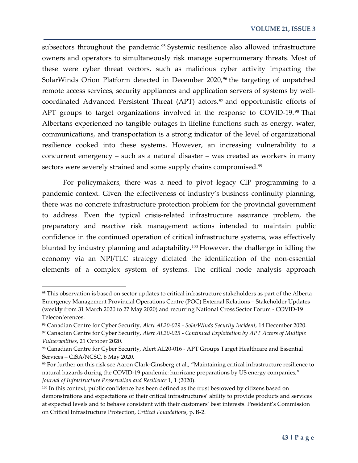subsectors throughout the pandemic.<sup>[95](#page-21-0)</sup> Systemic resilience also allowed infrastructure owners and operators to simultaneously risk manage supernumerary threats. Most of these were cyber threat vectors, such as malicious cyber activity impacting the SolarWinds Orion Platform detected in December 2020,<sup>[96](#page-21-1)</sup> the targeting of unpatched remote access services, security appliances and application servers of systems by wellcoordinated Advanced Persistent Threat (APT) actors, $97$  and opportunistic efforts of APT groups to target organizations involved in the response to COVID-19.<sup>[98](#page-21-3)</sup> That Albertans experienced no tangible outages in lifeline functions such as energy, water, communications, and transportation is a strong indicator of the level of organizational resilience cooked into these systems. However, an increasing vulnerability to a concurrent emergency – such as a natural disaster – was created as workers in many sectors were severely strained and some supply chains compromised.<sup>[99](#page-21-4)</sup>

For policymakers, there was a need to pivot legacy CIP programming to a pandemic context. Given the effectiveness of industry's business continuity planning, there was no concrete infrastructure protection problem for the provincial government to address. Even the typical crisis-related infrastructure assurance problem, the preparatory and reactive risk management actions intended to maintain public confidence in the continued operation of critical infrastructure systems, was effectively blunted by industry planning and adaptability.<sup>[100](#page-21-5)</sup> However, the challenge in idling the economy via an NPI/TLC strategy dictated the identification of the non-essential elements of a complex system of systems. The critical node analysis approach

<span id="page-21-0"></span><sup>95</sup> This observation is based on sector updates to critical infrastructure stakeholders as part of the Alberta Emergency Management Provincial Operations Centre (POC) External Relations – Stakeholder Updates (weekly from 31 March 2020 to 27 May 2020) and recurring National Cross Sector Forum - COVID-19 Teleconferences.

<span id="page-21-2"></span><span id="page-21-1"></span><sup>96</sup> Canadian Centre for Cyber Security, *Alert AL20-029 - SolarWinds Security Incident*, 14 December 2020. <sup>97</sup> Canadian Centre for Cyber Security, *Alert AL20-025 - Continued Exploitation by APT Actors of Multiple Vulnerabilities*, 21 October 2020.

<span id="page-21-3"></span><sup>98</sup> Canadian Centre for Cyber Security, Alert AL20-016 - APT Groups Target Healthcare and Essential Services – CISA/NCSC, 6 May 2020.

<span id="page-21-4"></span><sup>99</sup> For further on this risk see Aaron Clark-Ginsberg et al., "Maintaining critical infrastructure resilience to natural hazards during the COVID-19 pandemic: hurricane preparations by US energy companies," *Journal of Infrastructure Preservation and Resilience* 1, 1 (2020).

<span id="page-21-5"></span><sup>&</sup>lt;sup>100</sup> In this context, public confidence has been defined as the trust bestowed by citizens based on demonstrations and expectations of their critical infrastructures' ability to provide products and services at expected levels and to behave consistent with their customers' best interests. President's Commission on Critical Infrastructure Protection, *Critical Foundations*, p. B-2.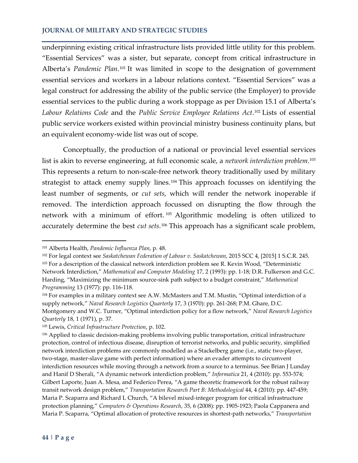underpinning existing critical infrastructure lists provided little utility for this problem. "Essential Services" was a sister, but separate, concept from critical infrastructure in Alberta's *Pandemic Plan*.[101](#page-22-0) It was limited in scope to the designation of government essential services and workers in a labour relations context. "Essential Services" was a legal construct for addressing the ability of the public service (the Employer) to provide essential services to the public during a work stoppage as per Division 15.1 of Alberta's *Labour Relations Code* and the *Public Service Employee Relations Act*.[102](#page-22-1) Lists of essential public service workers existed within provincial ministry business continuity plans, but an equivalent economy-wide list was out of scope.

Conceptually, the production of a national or provincial level essential services list is akin to reverse engineering, at full economic scale, a *network interdiction problem*. [103](#page-22-2) This represents a return to non-scale-free network theory traditionally used by military strategist to attack enemy supply lines.<sup>[104](#page-22-3)</sup> This approach focusses on identifying the least number of segments, or *cut sets*, which will render the network inoperable if removed. The interdiction approach focussed on disrupting the flow through the network with a minimum of effort. [105](#page-22-4) Algorithmic modeling is often utilized to accurately determine the best *cut sets*.[106](#page-22-5) This approach has a significant scale problem,

 $\overline{\phantom{a}}$ 

<span id="page-22-0"></span><sup>101</sup> Alberta Health, *Pandemic Influenza Plan*, p. 48.

<span id="page-22-2"></span><span id="page-22-1"></span><sup>102</sup> For legal context see *Saskatchewan Federation of Labour v. Saskatchewan*, 2015 SCC 4, [2015] 1 S.C.R. 245. <sup>103</sup> For a description of the classical network interdiction problem see R. Kevin Wood, "Deterministic Network Interdiction," *Mathematical and Computer Modeling* 17, 2 (1993): pp. 1-18; D.R. Fulkerson and G.C. Harding, "Maximizing the minimum source-sink path subject to a budget constraint," *Mathematical Programming* 13 (1977): pp. 116-118.

<span id="page-22-3"></span><sup>104</sup> For examples in a military context see A.W. McMasters and T.M. Mustin, "Optimal interdiction of a supply network," *Naval Research Logistics Quarterly* 17, 3 (1970): pp. 261-268; P.M. Ghare, D.C. Montgomery and W.C. Turner, "Optimal interdiction policy for a flow network," *Naval Research Logistics Quarterly* 18, 1 (1971), p. 37.

<span id="page-22-4"></span><sup>105</sup> Lewis, *Critical Infrastructure Protection*, p. 102.

<span id="page-22-5"></span><sup>106</sup> Applied to classic decision-making problems involving public transportation, critical infrastructure protection, control of infectious disease, disruption of terrorist networks, and public security, simplified network interdiction problems are commonly modelled as a Stackelberg game (i.e., static two-player, two-stage, master-slave game with perfect information) where an evader attempts to circumvent interdiction resources while moving through a network from a source to a terminus. See Brian J Lunday and Hanif D Sherali, "A dynamic network interdiction problem," *Informatica* 21, 4 (2010): pp. 553-574; Gilbert Laporte, Juan A. Mesa, and Federico Perea, "A game theoretic framework for the robust railway transit network design problem," *Transportation Research Part B: Methodological* 44, 4 (2010): pp. 447-459; Maria P. Scaparra and Richard L Church, "A bilevel mixed-integer program for critical infrastructure protection planning," *Computers & Operations Research*, 35, 6 (2008): pp. 1905-1923; Paola Cappanera and Maria P. Scaparra, "Optimal allocation of protective resources in shortest-path networks," *Transportation*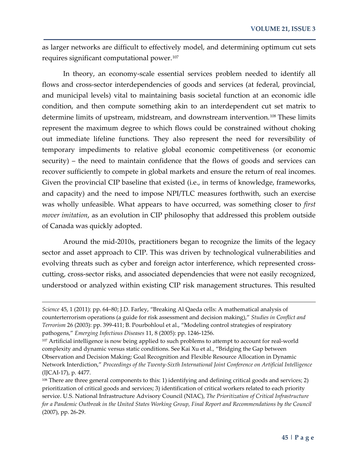as larger networks are difficult to effectively model, and determining optimum cut sets requires significant computational power.<sup>107</sup>

In theory, an economy-scale essential services problem needed to identify all flows and cross-sector interdependencies of goods and services (at federal, provincial, and municipal levels) vital to maintaining basis societal function at an economic idle condition, and then compute something akin to an interdependent cut set matrix to determine limits of upstream, midstream, and downstream intervention.<sup>[108](#page-23-1)</sup> These limits represent the maximum degree to which flows could be constrained without choking out immediate lifeline functions. They also represent the need for reversibility of temporary impediments to relative global economic competitiveness (or economic security) – the need to maintain confidence that the flows of goods and services can recover sufficiently to compete in global markets and ensure the return of real incomes. Given the provincial CIP baseline that existed (i.e., in terms of knowledge, frameworks, and capacity) and the need to impose NPI/TLC measures forthwith, such an exercise was wholly unfeasible. What appears to have occurred, was something closer to *first mover imitation*, as an evolution in CIP philosophy that addressed this problem outside of Canada was quickly adopted.

Around the mid-2010s, practitioners began to recognize the limits of the legacy sector and asset approach to CIP. This was driven by technological vulnerabilities and evolving threats such as cyber and foreign actor interference, which represented crosscutting, cross-sector risks, and associated dependencies that were not easily recognized, understood or analyzed within existing CIP risk management structures. This resulted

*Science* 45, 1 (2011): pp. 64–80; J.D. Farley, "Breaking Al Qaeda cells: A mathematical analysis of counterterrorism operations (a guide for risk assessment and decision making)," *Studies in Conflict and Terrorism* 26 (2003): pp. 399-411; B. Pourbohloul et al., "Modeling control strategies of respiratory pathogens," *Emerging Infectious Diseases* 11, 8 (2005): pp. 1246-1256.

<span id="page-23-0"></span><sup>&</sup>lt;sup>107</sup> Artificial intelligence is now being applied to such problems to attempt to account for real-world complexity and dynamic versus static conditions. See Kai Xu et al., "Bridging the Gap between Observation and Decision Making: Goal Recognition and Flexible Resource Allocation in Dynamic Network Interdiction," *Proceedings of the Twenty-Sixth International Joint Conference on Artificial Intelligence* (IJCAI-17), p. 4477.

<span id="page-23-1"></span><sup>108</sup> There are three general components to this: 1) identifying and defining critical goods and services; 2) prioritization of critical goods and services; 3) identification of critical workers related to each priority service. U.S. National Infrastructure Advisory Council (NIAC), *The Prioritization of Critical Infrastructure for a Pandemic Outbreak in the United States Working Group, Final Report and Recommendations by the Council* (2007), pp. 26-29.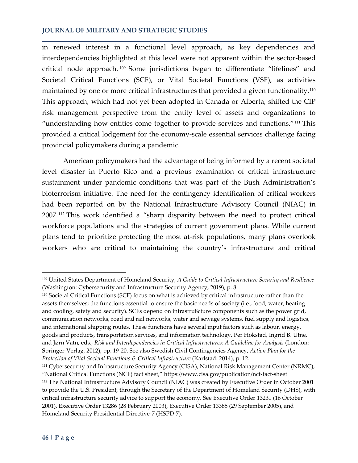in renewed interest in a functional level approach, as key dependencies and interdependencies highlighted at this level were not apparent within the sector-based critical node approach. [109](#page-24-0) Some jurisdictions began to differentiate "lifelines" and Societal Critical Functions (SCF), or Vital Societal Functions (VSF), as activities maintained by one or more critical infrastructures that provided a given functionality.<sup>[110](#page-24-1)</sup> This approach, which had not yet been adopted in Canada or Alberta, shifted the CIP risk management perspective from the entity level of assets and organizations to "understanding how entities come together to provide services and functions."[111](#page-24-2) This provided a critical lodgement for the economy-scale essential services challenge facing provincial policymakers during a pandemic.

American policymakers had the advantage of being informed by a recent societal level disaster in Puerto Rico and a previous examination of critical infrastructure sustainment under pandemic conditions that was part of the Bush Administration's bioterrorism initiative. The need for the contingency identification of critical workers had been reported on by the National Infrastructure Advisory Council (NIAC) in 2007.[112](#page-24-3) This work identified a "sharp disparity between the need to protect critical workforce populations and the strategies of current government plans. While current plans tend to prioritize protecting the most at-risk populations, many plans overlook workers who are critical to maintaining the country's infrastructure and critical

<span id="page-24-0"></span><sup>109</sup> United States Department of Homeland Security, *A Guide to Critical Infrastructure Security and Resilience*  (Washington: Cybersecurity and Infrastructure Security Agency, 2019), p. 8.

<span id="page-24-1"></span><sup>110</sup> Societal Critical Functions (SCF) focus on what is achieved by critical infrastructure rather than the assets themselves; the functions essential to ensure the basic needs of society (i.e., food, water, heating and cooling, safety and security). SCFs depend on infrastru8cture components such as the power grid, communication networks, road and rail networks, water and sewage systems, fuel supply and logistics, and international shipping routes. These functions have several input factors such as labour, energy, goods and products, transportation services, and information technology. Per Hokstad, Ingrid B. Utne, and Jørn Vatn, eds., *Risk and Interdependencies in Critical Infrastructures: A Guideline for Analysis* (London: Springer-Verlag, 2012), pp. 19-20. See also Swedish Civil Contingencies Agency, *Action Plan for the Protection of Vital Societal Functions & Critical Infrastructure* (Karlstad: 2014), p. 12.

<span id="page-24-3"></span><span id="page-24-2"></span><sup>111</sup> Cybersecurity and Infrastructure Security Agency (CISA), National Risk Management Center (NRMC), "National Critical Functions (NCF) fact sheet," https://www.cisa.gov/publication/ncf-fact-sheet <sup>112</sup> The National Infrastructure Advisory Council (NIAC) was created by Executive Order in October 2001 to provide the U.S. President, through the Secretary of the Department of Homeland Security (DHS), with critical infrastructure security advice to support the economy. See Executive Order 13231 (16 October 2001), Executive Order 13286 (28 February 2003), Executive Order 13385 (29 September 2005), and Homeland Security Presidential Directive-7 (HSPD-7).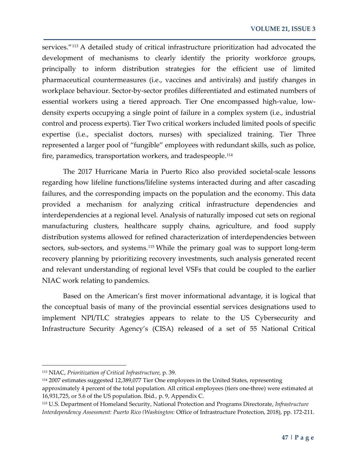services."[113](#page-25-0) A detailed study of critical infrastructure prioritization had advocated the development of mechanisms to clearly identify the priority workforce groups, principally to inform distribution strategies for the efficient use of limited pharmaceutical countermeasures (i.e., vaccines and antivirals) and justify changes in workplace behaviour. Sector-by-sector profiles differentiated and estimated numbers of essential workers using a tiered approach. Tier One encompassed high-value, lowdensity experts occupying a single point of failure in a complex system (i.e., industrial control and process experts). Tier Two critical workers included limited pools of specific expertise (i.e., specialist doctors, nurses) with specialized training. Tier Three represented a larger pool of "fungible" employees with redundant skills, such as police, fire, paramedics, transportation workers, and tradespeople.[114](#page-25-1)

The 2017 Hurricane Maria in Puerto Rico also provided societal-scale lessons regarding how lifeline functions/lifeline systems interacted during and after cascading failures, and the corresponding impacts on the population and the economy. This data provided a mechanism for analyzing critical infrastructure dependencies and interdependencies at a regional level. Analysis of naturally imposed cut sets on regional manufacturing clusters, healthcare supply chains, agriculture, and food supply distribution systems allowed for refined characterization of interdependencies between sectors, sub-sectors, and systems.<sup>[115](#page-25-2)</sup> While the primary goal was to support long-term recovery planning by prioritizing recovery investments, such analysis generated recent and relevant understanding of regional level VSFs that could be coupled to the earlier NIAC work relating to pandemics.

Based on the American's first mover informational advantage, it is logical that the conceptual basis of many of the provincial essential services designations used to implement NPI/TLC strategies appears to relate to the US Cybersecurity and Infrastructure Security Agency's (CISA) released of a set of 55 National Critical

<span id="page-25-0"></span><sup>113</sup> NIAC, *Prioritization of Critical Infrastructure*, p. 39.

<span id="page-25-1"></span><sup>114</sup> 2007 estimates suggested 12,389,077 Tier One employees in the United States, representing approximately 4 percent of the total population. All critical employees (tiers one-three) were estimated at 16,931,725, or 5.6 of the US population. Ibid*.,* p. 9, Appendix C.

<span id="page-25-2"></span><sup>115</sup> U.S. Department of Homeland Security, National Protection and Programs Directorate, *Infrastructure Interdependency Assessment: Puerto Rico (Washington:* Office of Infrastructure Protection, 2018), pp. 172-211.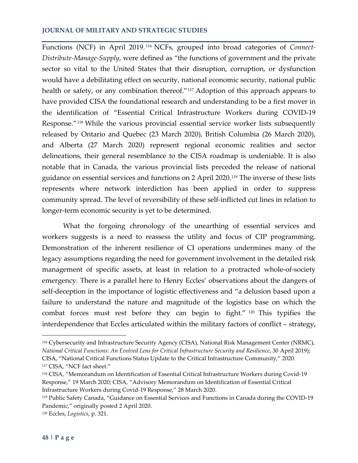Functions (NCF) in April 2019. [116](#page-26-0) NCFs, grouped into broad categories of *Connect-Distribute-Manage-Supply*, were defined as "the functions of government and the private sector so vital to the United States that their disruption, corruption, or dysfunction would have a debilitating effect on security, national economic security, national public health or safety, or any combination thereof."[117](#page-26-1) Adoption of this approach appears to have provided CISA the foundational research and understanding to be a first mover in the identification of "Essential Critical Infrastructure Workers during COVID-19 Response."[118](#page-26-2) While the various provincial essential service worker lists subsequently released by Ontario and Quebec (23 March 2020), British Columbia (26 March 2020), and Alberta (27 March 2020) represent regional economic realities and sector delineations, their general resemblance to the CISA roadmap is undeniable. It is also notable that in Canada, the various provincial lists preceded the release of national guidance on essential services and functions on 2 April 2020.<sup>[119](#page-26-3)</sup> The inverse of these lists represents where network interdiction has been applied in order to suppress community spread. The level of reversibility of these self-inflicted cut lines in relation to longer-term economic security is yet to be determined.

What the forgoing chronology of the unearthing of essential services and workers suggests is a need to reassess the utility and focus of CIP programming. Demonstration of the inherent resilience of CI operations undermines many of the legacy assumptions regarding the need for government involvement in the detailed risk management of specific assets, at least in relation to a protracted whole-of-society emergency. There is a parallel here to Henry Eccles' observations about the dangers of self-deception in the importance of logistic effectiveness and "a delusion based upon a failure to understand the nature and magnitude of the logistics base on which the combat forces must rest before they can begin to fight." [120](#page-26-4) This typifies the interdependence that Eccles articulated within the military factors of conflict – strategy,

<span id="page-26-0"></span><sup>116</sup> Cybersecurity and Infrastructure Security Agency (CISA), National Risk Management Center (NRMC), *National Critical Functions: An Evolved Lens for Critical Infrastructure Security and Resilience*, 30 April 2019); CISA, "National Critical Functions Status Update to the Critical Infrastructure Community," 2020. <sup>117</sup> CISA, "NCF fact sheet."

<span id="page-26-2"></span><span id="page-26-1"></span><sup>118</sup> CISA, "Memorandum on Identification of Essential Critical Infrastructure Workers during Covid-19 Response," 19 March 2020; CISA, "Advisory Memorandum on Identification of Essential Critical Infrastructure Workers during Covid-19 Response," 28 March 2020.

<span id="page-26-3"></span><sup>119</sup> Public Safety Canada, "Guidance on Essential Services and Functions in Canada during the COVID-19 Pandemic," originally posted 2 April 2020.

<span id="page-26-4"></span><sup>120</sup> Eccles, *Logistics*, p. 321.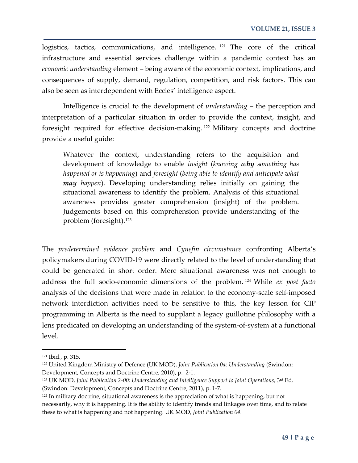logistics, tactics, communications, and intelligence.<sup>[121](#page-27-0)</sup> The core of the critical infrastructure and essential services challenge within a pandemic context has an *economic understanding* element – being aware of the economic context, implications, and consequences of supply, demand, regulation, competition, and risk factors. This can also be seen as interdependent with Eccles' intelligence aspect.

Intelligence is crucial to the development of *understanding* – the perception and interpretation of a particular situation in order to provide the context, insight, and foresight required for effective decision-making. [122](#page-27-1) Military concepts and doctrine provide a useful guide:

Whatever the context, understanding refers to the acquisition and development of knowledge to enable *insight* (*knowing why something has happened or is happening*) and *foresight* (*being able to identify and anticipate what may happen*). Developing understanding relies initially on gaining the situational awareness to identify the problem. Analysis of this situational awareness provides greater comprehension (insight) of the problem. Judgements based on this comprehension provide understanding of the problem (foresight).[123](#page-27-2)

The *predetermined evidence problem* and *Cynefin circumstance* confronting Alberta's policymakers during COVID-19 were directly related to the level of understanding that could be generated in short order. Mere situational awareness was not enough to address the full socio-economic dimensions of the problem. [124](#page-27-3) While *ex post facto* analysis of the decisions that were made in relation to the economy-scale self-imposed network interdiction activities need to be sensitive to this, the key lesson for CIP programming in Alberta is the need to supplant a legacy guillotine philosophy with a lens predicated on developing an understanding of the system-of-system at a functional level.

<span id="page-27-0"></span><sup>121</sup> Ibid*.,* p. 315.

<span id="page-27-1"></span><sup>122</sup> United Kingdom Ministry of Defence (UK MOD), *Joint Publication 04: Understanding* (Swindon: Development, Concepts and Doctrine Centre, 2010), p. 2-1.

<span id="page-27-2"></span><sup>123</sup> UK MOD, *Joint Publication 2-00: Understanding and Intelligence Support to Joint Operations*, 3rd Ed. (Swindon: Development, Concepts and Doctrine Centre, 2011), p. 1-7.

<span id="page-27-3"></span><sup>&</sup>lt;sup>124</sup> In military doctrine, situational awareness is the appreciation of what is happening, but not necessarily, why it is happening. It is the ability to identify trends and linkages over time, and to relate these to what is happening and not happening. UK MOD, *Joint Publication 04.*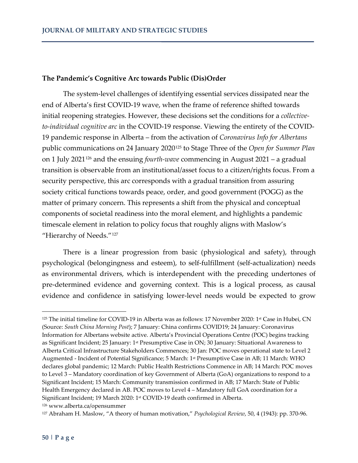## **The Pandemic's Cognitive Arc towards Public (Dis)Order**

The system-level challenges of identifying essential services dissipated near the end of Alberta's first COVID-19 wave, when the frame of reference shifted towards initial reopening strategies. However, these decisions set the conditions for a *collectiveto-individual cognitive arc* in the COVID-19 response. Viewing the entirety of the COVID-19 pandemic response in Alberta – from the activation of *Coronavirus Info for Albertans* public communications on 24 January 2020[125](#page-28-0) to Stage Three of the *Open for Summer Plan* on 1 July 2021[126](#page-28-1) and the ensuing *fourth-wave* commencing in August 2021 – a gradual transition is observable from an institutional/asset focus to a citizen/rights focus. From a security perspective, this arc corresponds with a gradual transition from assuring society critical functions towards peace, order, and good government (POGG) as the matter of primary concern. This represents a shift from the physical and conceptual components of societal readiness into the moral element, and highlights a pandemic timescale element in relation to policy focus that roughly aligns with Maslow's "Hierarchy of Needs."<sup>[127](#page-28-2)</sup>

There is a linear progression from basic (physiological and safety), through psychological (belongingness and esteem), to self-fulfillment (self-actualization) needs as environmental drivers, which is interdependent with the preceding undertones of pre-determined evidence and governing context. This is a logical process, as causal evidence and confidence in satisfying lower-level needs would be expected to grow

<span id="page-28-0"></span><sup>125</sup> The initial timeline for COVID-19 in Alberta was as follows: 17 November 2020: 1<sup>st</sup> Case in Hubei, CN (Source: *South China Morning Post*); 7 January: China confirms COVID19; 24 January: Coronavirus Information for Albertans website active. Alberta's Provincial Operations Centre (POC) begins tracking as Significant Incident; 25 January: 1st Presumptive Case in ON; 30 January: Situational Awareness to Alberta Critical Infrastructure Stakeholders Commences; 30 Jan: POC moves operational state to Level 2 Augmented - Incident of Potential Significance; 5 March: 1st Presumptive Case in AB; 11 March: WHO declares global pandemic; 12 March: Public Health Restrictions Commence in AB; 14 March: POC moves to Level 3 – Mandatory coordination of key Government of Alberta (GoA) organizations to respond to a Significant Incident; 15 March: Community transmission confirmed in AB; 17 March: State of Public Health Emergency declared in AB. POC moves to Level 4 – Mandatory full GoA coordination for a Significant Incident; 19 March 2020: 1st COVID-19 death confirmed in Alberta.

<span id="page-28-1"></span><sup>126</sup> www.alberta.ca/opensummer

<span id="page-28-2"></span><sup>127</sup> Abraham H. Maslow, "A theory of human motivation," *Psychological Review*, 50, 4 (1943): pp. 370-96.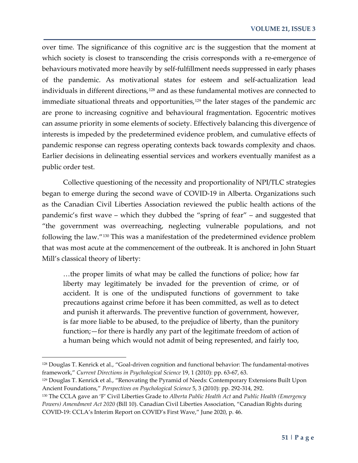over time. The significance of this cognitive arc is the suggestion that the moment at which society is closest to transcending the crisis corresponds with a re-emergence of behaviours motivated more heavily by self-fulfillment needs suppressed in early phases of the pandemic. As motivational states for esteem and self-actualization lead individuals in different directions,<sup>[128](#page-29-0)</sup> and as these fundamental motives are connected to immediate situational threats and opportunities,<sup>[129](#page-29-1)</sup> the later stages of the pandemic arc are prone to increasing cognitive and behavioural fragmentation. Egocentric motives can assume priority in some elements of society. Effectively balancing this divergence of interests is impeded by the predetermined evidence problem, and cumulative effects of pandemic response can regress operating contexts back towards complexity and chaos. Earlier decisions in delineating essential services and workers eventually manifest as a public order test.

Collective questioning of the necessity and proportionality of NPI/TLC strategies began to emerge during the second wave of COVID-19 in Alberta. Organizations such as the Canadian Civil Liberties Association reviewed the public health actions of the pandemic's first wave – which they dubbed the "spring of fear" – and suggested that "the government was overreaching, neglecting vulnerable populations, and not following the law."[130](#page-29-2) This was a manifestation of the predetermined evidence problem that was most acute at the commencement of the outbreak. It is anchored in John Stuart Mill's classical theory of liberty:

…the proper limits of what may be called the functions of police; how far liberty may legitimately be invaded for the prevention of crime, or of accident. It is one of the undisputed functions of government to take precautions against crime before it has been committed, as well as to detect and punish it afterwards. The preventive function of government, however, is far more liable to be abused, to the prejudice of liberty, than the punitory function;—for there is hardly any part of the legitimate freedom of action of a human being which would not admit of being represented, and fairly too,

<span id="page-29-0"></span><sup>128</sup> Douglas T. Kenrick et al., "Goal-driven cognition and functional behavior: The fundamental-motives framework," *Current Directions in Psychological Science* 19, 1 (2010): pp. 63-67, 63.

<span id="page-29-1"></span><sup>129</sup> Douglas T. Kenrick et al., "Renovating the Pyramid of Needs: Contemporary Extensions Built Upon Ancient Foundations," *Perspectives on Psychological Science* 5, 3 (2010): pp. 292-314, 292.

<span id="page-29-2"></span><sup>130</sup> The CCLA gave an 'F' Civil Liberties Grade to *Alberta Public Health Act* and *Public Health (Emergency Powers) Amendment Act 2020* (Bill 10). Canadian Civil Liberties Association, "Canadian Rights during COVID-19: CCLA's Interim Report on COVID's First Wave," June 2020, p. 46.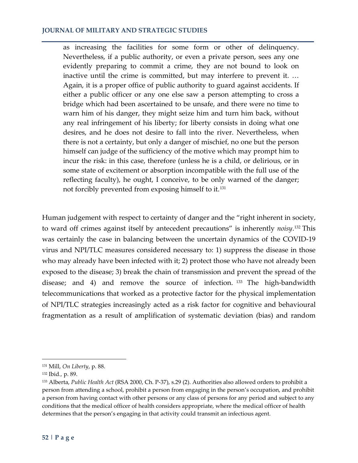as increasing the facilities for some form or other of delinquency. Nevertheless, if a public authority, or even a private person, sees any one evidently preparing to commit a crime, they are not bound to look on inactive until the crime is committed, but may interfere to prevent it. … Again, it is a proper office of public authority to guard against accidents. If either a public officer or any one else saw a person attempting to cross a bridge which had been ascertained to be unsafe, and there were no time to warn him of his danger, they might seize him and turn him back, without any real infringement of his liberty; for liberty consists in doing what one desires, and he does not desire to fall into the river. Nevertheless, when there is not a certainty, but only a danger of mischief, no one but the person himself can judge of the sufficiency of the motive which may prompt him to incur the risk: in this case, therefore (unless he is a child, or delirious, or in some state of excitement or absorption incompatible with the full use of the reflecting faculty), he ought, I conceive, to be only warned of the danger; not forcibly prevented from exposing himself to it.[131](#page-30-0)

Human judgement with respect to certainty of danger and the "right inherent in society, to ward off crimes against itself by antecedent precautions" is inherently *noisy*. [132](#page-30-1) This was certainly the case in balancing between the uncertain dynamics of the COVID-19 virus and NPI/TLC measures considered necessary to: 1) suppress the disease in those who may already have been infected with it; 2) protect those who have not already been exposed to the disease; 3) break the chain of transmission and prevent the spread of the disease; and 4) and remove the source of infection. [133](#page-30-2) The high-bandwidth telecommunications that worked as a protective factor for the physical implementation of NPI/TLC strategies increasingly acted as a risk factor for cognitive and behavioural fragmentation as a result of amplification of systematic deviation (bias) and random

<span id="page-30-0"></span><sup>131</sup> Mill, *On Liberty*, p. 88.

<span id="page-30-1"></span><sup>132</sup> Ibid*.,* p. 89.

<span id="page-30-2"></span><sup>133</sup> Alberta, *Public Health Act* (RSA 2000, Ch. P-37), s.29 (2). Authorities also allowed orders to prohibit a person from attending a school, prohibit a person from engaging in the person's occupation, and prohibit a person from having contact with other persons or any class of persons for any period and subject to any conditions that the medical officer of health considers appropriate, where the medical officer of health determines that the person's engaging in that activity could transmit an infectious agent.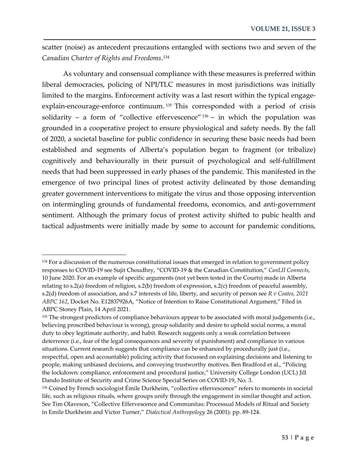scatter (noise) as antecedent precautions entangled with sections two and seven of the *Canadian Charter of Rights and Freedoms*. [134](#page-31-0)

As voluntary and consensual compliance with these measures is preferred within liberal democracies, policing of NPI/TLC measures in most jurisdictions was initially limited to the margins. Enforcement activity was a last resort within the typical engageexplain-encourage-enforce continuum. [135](#page-31-1) This corresponded with a period of crisis solidarity – a form of "collective effervescence"  $136$  – in which the population was grounded in a cooperative project to ensure physiological and safety needs. By the fall of 2020, a societal baseline for public confidence in securing these basic needs had been established and segments of Alberta's population began to fragment (or tribalize) cognitively and behaviourally in their pursuit of psychological and self-fulfillment needs that had been suppressed in early phases of the pandemic. This manifested in the emergence of two principal lines of protest activity delineated by those demanding greater government interventions to mitigate the virus and those opposing intervention on intermingling grounds of fundamental freedoms, economics, and anti-government sentiment. Although the primary focus of protest activity shifted to pubic health and tactical adjustments were initially made by some to account for pandemic conditions,

 $\overline{\phantom{a}}$ 

<span id="page-31-0"></span><sup>&</sup>lt;sup>134</sup> For a discussion of the numerous constitutional issues that emerged in relation to government policy responses to COVID-19 see Sujit Choudhry, "COVID-19 & the Canadian Constitution," *CanLII Connects*, 10 June 2020. For an example of specific arguments (not yet been tested in the Courts) made in Alberta relating to s.2(a) freedom of religion, s.2(b) freedom of expression, s.2(c) freedom of peaceful assembly, s.2(d) freedom of association, and s.7 interests of life, liberty, and security of person see *R v Coates, 2021 ABPC 162*, Docket No. E12837926A, "Notice of Intention to Raise Constitutional Argument," Filed in ABPC Stoney Plain, 14 April 2021.

<span id="page-31-1"></span><sup>&</sup>lt;sup>135</sup> The strongest predictors of compliance behaviours appear to be associated with moral judgements (i.e., believing proscribed behaviour is wrong), group solidarity and desire to uphold social norms, a moral duty to obey legitimate authority, and habit. Research suggests only a weak correlation between deterrence (i.e., fear of the legal consequences and severity of punishment) and compliance in various situations. Current research suggests that compliance can be enhanced by procedurally just (i.e., respectful, open and accountable) policing activity that focussed on explaining decisions and listening to people, making unbiased decisions, and conveying trustworthy motives. Ben Bradford et al., "Policing the lockdown: compliance, enforcement and procedural justice," University College London (UCL) Jill Dando Institute of Security and Crime Science Special Series on COVID-19, No. 3.

<span id="page-31-2"></span><sup>136</sup> Coined by French sociologist Émile Durkheim, "collective effervescence" refers to moments in societal life, such as religious rituals, where groups unify through the engagement in similar thought and action. See Tim Olaveson, "Collective Effervescence and Communitas: Processual Models of Ritual and Society in Emile Durkheim and Victor Turner," *Dialectical Anthropology* 26 (2001): pp. 89-124.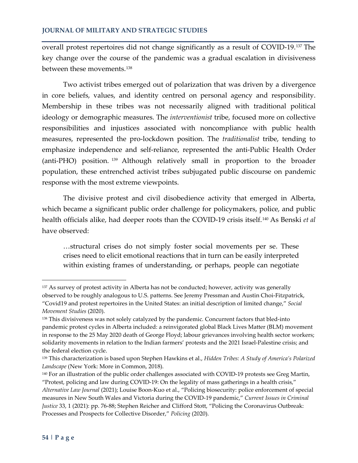overall protest repertoires did not change significantly as a result of COVID-19.[137](#page-32-0) The key change over the course of the pandemic was a gradual escalation in divisiveness between these movements.[138](#page-32-1)

Two activist tribes emerged out of polarization that was driven by a divergence in core beliefs, values, and identity centred on personal agency and responsibility. Membership in these tribes was not necessarily aligned with traditional political ideology or demographic measures. The *interventionist* tribe, focused more on collective responsibilities and injustices associated with noncompliance with public health measures, represented the pro-lockdown position. The *traditionalist* tribe, tending to emphasize independence and self-reliance, represented the anti-Public Health Order (anti-PHO) position. [139](#page-32-2) Although relatively small in proportion to the broader population, these entrenched activist tribes subjugated public discourse on pandemic response with the most extreme viewpoints.

The divisive protest and civil disobedience activity that emerged in Alberta, which became a significant public order challenge for policymakers, police, and public health officials alike, had deeper roots than the COVID-19 crisis itself.[140](#page-32-3) As Benski *et al* have observed:

…structural crises do not simply foster social movements per se. These crises need to elicit emotional reactions that in turn can be easily interpreted within existing frames of understanding, or perhaps, people can negotiate

<span id="page-32-0"></span><sup>&</sup>lt;sup>137</sup> As survey of protest activity in Alberta has not be conducted; however, activity was generally observed to be roughly analogous to U.S. patterns. See Jeremy Pressman and Austin Choi-Fitzpatrick, "Covid19 and protest repertoires in the United States: an initial description of limited change," *Social Movement Studies* (2020).

<span id="page-32-1"></span><sup>138</sup> This divisiveness was not solely catalyzed by the pandemic. Concurrent factors that bled-into pandemic protest cycles in Alberta included: a reinvigorated global Black Lives Matter (BLM) movement in response to the 25 May 2020 death of George Floyd; labour grievances involving health sector workers; solidarity movements in relation to the Indian farmers' protests and the 2021 Israel-Palestine crisis; and the federal election cycle.

<span id="page-32-2"></span><sup>139</sup> This characterization is based upon Stephen Hawkins et al., *Hidden Tribes: A Study of America's Polarized Landscape* (New York: More in Common, 2018).

<span id="page-32-3"></span><sup>140</sup> For an illustration of the public order challenges associated with COVID-19 protests see Greg Martin, "Protest, policing and law during COVID-19: On the legality of mass gatherings in a health crisis," *Alternative Law Journal* (2021); Louise Boon-Kuo et al., "Policing biosecurity: police enforcement of special measures in New South Wales and Victoria during the COVID-19 pandemic," *Current Issues in Criminal Justice* 33, 1 (2021): pp. 76-88; Stephen Reicher and Clifford Stott, "Policing the Coronavirus Outbreak: Processes and Prospects for Collective Disorder," *Policing* (2020).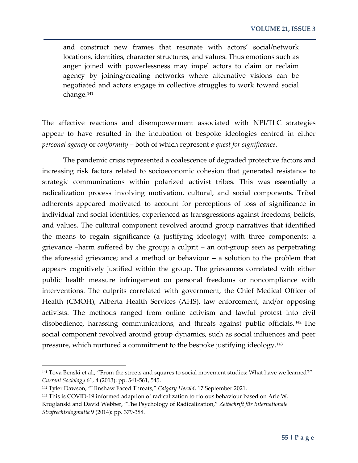and construct new frames that resonate with actors' social/network locations, identities, character structures, and values. Thus emotions such as anger joined with powerlessness may impel actors to claim or reclaim agency by joining/creating networks where alternative visions can be negotiated and actors engage in collective struggles to work toward social change.<sup>[141](#page-33-0)</sup>

The affective reactions and disempowerment associated with NPI/TLC strategies appear to have resulted in the incubation of bespoke ideologies centred in either *personal agency* or *conformity* – both of which represent *a quest for significance*.

The pandemic crisis represented a coalescence of degraded protective factors and increasing risk factors related to socioeconomic cohesion that generated resistance to strategic communications within polarized activist tribes. This was essentially a radicalization process involving motivation, cultural, and social components. Tribal adherents appeared motivated to account for perceptions of loss of significance in individual and social identities, experienced as transgressions against freedoms, beliefs, and values. The cultural component revolved around group narratives that identified the means to regain significance (a justifying ideology) with three components: a grievance –harm suffered by the group; a culprit – an out-group seen as perpetrating the aforesaid grievance; and a method or behaviour – a solution to the problem that appears cognitively justified within the group. The grievances correlated with either public health measure infringement on personal freedoms or noncompliance with interventions. The culprits correlated with government, the Chief Medical Officer of Health (CMOH), Alberta Health Services (AHS), law enforcement, and/or opposing activists. The methods ranged from online activism and lawful protest into civil disobedience, harassing communications, and threats against public officials. [142](#page-33-1) The social component revolved around group dynamics, such as social influences and peer pressure, which nurtured a commitment to the bespoke justifying ideology.[143](#page-33-2)

<span id="page-33-0"></span><sup>141</sup> Tova Benski et al., "From the streets and squares to social movement studies: What have we learned?" *Current Sociology* 61, 4 (2013): pp. 541-561, 545.

<span id="page-33-1"></span><sup>142</sup> Tyler Dawson, "Hinshaw Faced Threats," *Calgary Herald*, 17 September 2021.

<span id="page-33-2"></span><sup>143</sup> This is COVID-19 informed adaption of radicalization to riotous behaviour based on Arie W. Kruglanski and David Webber, "The Psychology of Radicalization," *Zeitschrift für Internationale Strafrechtsdogmatik* 9 (2014): pp. 379-388.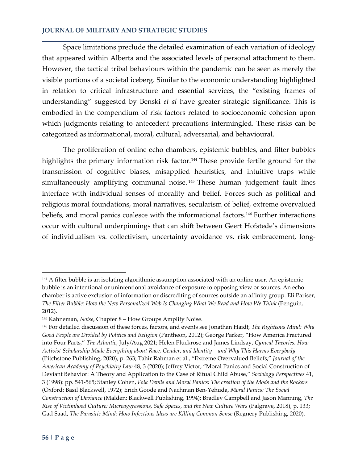Space limitations preclude the detailed examination of each variation of ideology that appeared within Alberta and the associated levels of personal attachment to them. However, the tactical tribal behaviours within the pandemic can be seen as merely the visible portions of a societal iceberg. Similar to the economic understanding highlighted in relation to critical infrastructure and essential services, the "existing frames of understanding" suggested by Benski *et al* have greater strategic significance. This is embodied in the compendium of risk factors related to socioeconomic cohesion upon which judgments relating to antecedent precautions intermingled. These risks can be categorized as informational, moral, cultural, adversarial, and behavioural.

The proliferation of online echo chambers, epistemic bubbles, and filter bubbles highlights the primary information risk factor.<sup>[144](#page-34-0)</sup> These provide fertile ground for the transmission of cognitive biases, misapplied heuristics, and intuitive traps while simultaneously amplifying communal noise.<sup>[145](#page-34-1)</sup> These human judgement fault lines interface with individual senses of morality and belief. Forces such as political and religious moral foundations, moral narratives, secularism of belief, extreme overvalued beliefs, and moral panics coalesce with the informational factors.<sup>[146](#page-34-2)</sup> Further interactions occur with cultural underpinnings that can shift between Geert Hofstede's dimensions of individualism vs. collectivism, uncertainty avoidance vs. risk embracement, long-

<span id="page-34-0"></span><sup>144</sup> A filter bubble is an isolating algorithmic assumption associated with an online user. An epistemic bubble is an intentional or unintentional avoidance of exposure to opposing view or sources. An echo chamber is active exclusion of information or discrediting of sources outside an affinity group. Eli Pariser, *The Filter Bubble: How the New Personalized Web Is Changing What We Read and How We Think* (Penguin, 2012).

<span id="page-34-1"></span><sup>145</sup> Kahneman, *Noise*, Chapter 8 – How Groups Amplify Noise.

<span id="page-34-2"></span><sup>146</sup> For detailed discussion of these forces, factors, and events see Jonathan Haidt, *The Righteous Mind: Why Good People are Divided by Politics and Religion* (Pantheon, 2012); George Parker, "How America Fractured into Four Parts," *The Atlantic*, July/Aug 2021; Helen Pluckrose and James Lindsay, *Cynical Theories: How Activist Scholarship Made Everything about Race, Gender, and Identity – and Why This Harms Everybody* (Pitchstone Publishing, 2020), p. 263; Tahir Rahman et al., "Extreme Overvalued Beliefs," *Journal of the American Academy of Psychiatry Law* 48, 3 (2020); Jeffrey Victor, "Moral Panics and Social Construction of Deviant Behavior: A Theory and Application to the Case of Ritual Child Abuse," *Sociology Perspectives* 41, 3 (1998): pp. 541-565; Stanley Cohen, *Folk Devils and Moral Panics: The creation of the Mods and the Rockers* (Oxford: Basil Blackwell, 1972); Erich Goode and Nachman Ben-Yehuda, *Moral Panics: The Social Construction of Deviance* (Malden: Blackwell Publishing, 1994); Bradley Campbell and Jason Manning, *The Rise of Victimhood Culture: Microaggressions, Safe Spaces, and the New Culture Wars* (Palgrave, 2018), p. 133; Gad Saad, *The Parasitic Mind: How Infectious Ideas are Killing Common Sense* (Regnery Publishing, 2020).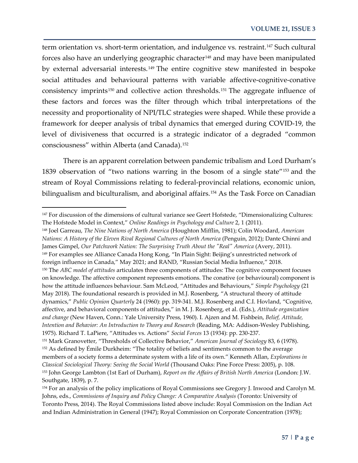term orientation vs. short-term orientation, and indulgence vs. restraint.<sup>[147](#page-35-0)</sup> Such cultural forces also have an underlying geographic character<sup>[148](#page-35-1)</sup> and may have been manipulated by external adversarial interests.<sup>[149](#page-35-2)</sup> The entire cognitive stew manifested in bespoke social attitudes and behavioural patterns with variable affective-cognitive-conative consistency imprints<sup>[150](#page-35-3)</sup> and collective action thresholds.<sup>[151](#page-35-4)</sup> The aggregate influence of these factors and forces was the filter through which tribal interpretations of the necessity and proportionality of NPI/TLC strategies were shaped. While these provide a framework for deeper analysis of tribal dynamics that emerged during COVID-19, the level of divisiveness that occurred is a strategic indicator of a degraded "common consciousness" within Alberta (and Canada).[152](#page-35-5)

There is an apparent correlation between pandemic tribalism and Lord Durham's 1839 observation of "two nations warring in the bosom of a single state"[153](#page-35-6) and the stream of Royal Commissions relating to federal-provincial relations, economic union, bilingualism and biculturalism, and aboriginal affairs.<sup>[154](#page-35-7)</sup> As the Task Force on Canadian

 $\overline{\phantom{a}}$ 

<span id="page-35-3"></span><span id="page-35-2"></span><span id="page-35-1"></span><sup>148</sup> Joel Garreau, *The Nine Nations of North America* (Houghton Mifflin, 1981); Colin Woodard, *American Nations: A History of the Eleven Rival Regional Cultures of North America* (Penguin, 2012); Dante Chinni and James Gimpel, *Our Patchwork Nation: The Surprising Truth About the "Real" America* (Avery, 2011). <sup>149</sup> For examples see Alliance Canada Hong Kong, "In Plain Sight: Beijing's unrestricted network of foreign influence in Canada," May 2021; and RAND, "Russian Social Media Influence," 2018. <sup>150</sup> The *ABC model of attitudes* articulates three components of attitudes: The cognitive component focuses on knowledge. The affective component represents emotions. The conative (or behavioural) component is how the attitude influences behaviour. Sam McLeod, "Attitudes and Behaviours," *Simple Psychology* (21 May 2018). The foundational research is provided in M.J. Rosenberg, "A structural theory of attitude dynamics," *Public Opinion Quarterly* 24 (1960): pp. 319-341. M.J. Rosenberg and C.I. Hovland, "Cognitive, affective, and behavioral components of attitudes," in M. J. Rosenberg, et al. (Eds.), *Attitude organization and change* (New Haven, Conn.: Yale University Press, 1960). I. Ajzen and M. Fishbein, *Belief, Attitude, Intention and Behavior: An Introduction to Theory and Research* (Reading, MA: Addison-Wesley Publishing, 1975). Richard T. LaPiere, "Attitudes vs. Actions" *Social Forces* 13 (1934): pp. 230-237.

<span id="page-35-0"></span><sup>&</sup>lt;sup>147</sup> For discussion of the dimensions of cultural variance see Geert Hofstede, "Dimensionalizing Cultures: The Hofstede Model in Context," *Online Readings in Psychology and Culture* 2, 1 (2011).

<span id="page-35-5"></span><span id="page-35-4"></span><sup>151</sup> Mark Granovetter, "Thresholds of Collective Behavior," *American Journal of Sociology* 83, 6 (1978). <sup>152</sup> As defined by Émile Durkheim: "The totality of beliefs and sentiments common to the average members of a society forms a determinate system with a life of its own." Kenneth Allan, *Explorations in Classical Sociological Theory: Seeing the Social World* (Thousand Oaks: Pine Force Press: 2005), p. 108. <sup>153</sup> John George Lambton (1st Earl of Durham), *Report on the Affairs of British North America* (London: J.W. Southgate, 1839), p. 7.

<span id="page-35-7"></span><span id="page-35-6"></span><sup>154</sup> For an analysis of the policy implications of Royal Commissions see Gregory J. Inwood and Carolyn M. Johns, eds., *Commissions of Inquiry and Policy Change: A Comparative Analysis* (Toronto: University of Toronto Press, 2014). The Royal Commissions listed above include: Royal Commission on the Indian Act and Indian Administration in General (1947); Royal Commission on Corporate Concentration (1978);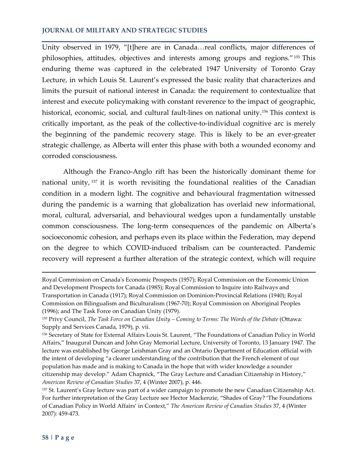Unity observed in 1979, "[t]here are in Canada…real conflicts, major differences of philosophies, attitudes, objectives and interests among groups and regions."[155](#page-36-0) This enduring theme was captured in the celebrated 1947 University of Toronto Gray Lecture, in which Louis St. Laurent's expressed the basic reality that characterizes and limits the pursuit of national interest in Canada: the requirement to contextualize that interest and execute policymaking with constant reverence to the impact of geographic, historical, economic, social, and cultural fault-lines on national unity.<sup>[156](#page-36-1)</sup> This context is critically important, as the peak of the collective-to-individual cognitive arc is merely the beginning of the pandemic recovery stage. This is likely to be an ever-greater strategic challenge, as Alberta will enter this phase with both a wounded economy and corroded consciousness.

Although the Franco-Anglo rift has been the historically dominant theme for national unity, [157](#page-36-2) it is worth revisiting the foundational realities of the Canadian condition in a modern light. The cognitive and behavioural fragmentation witnessed during the pandemic is a warning that globalization has overlaid new informational, moral, cultural, adversarial, and behavioural wedges upon a fundamentally unstable common consciousness. The long-term consequences of the pandemic on Alberta's socioeconomic cohesion, and perhaps even its place within the Federation, may depend on the degree to which COVID-induced tribalism can be counteracted. Pandemic recovery will represent a further alteration of the strategic context, which will require

Royal Commission on Canada's Economic Prospects (1957); Royal Commission on the Economic Union and Development Prospects for Canada (1985); Royal Commission to Inquire into Railways and Transportation in Canada (1917); Royal Commission on Dominion-Provincial Relations (1940); Royal Commission on Bilingualism and Biculturalism (1967-70); Royal Commission on Aboriginal Peoples (1996); and The Task Force on Canadian Unity (1979).

<span id="page-36-0"></span><sup>155</sup> Privy Council, *The Task Force on Canadian Unity – Coming to Terms: The Words of the Debate* (Ottawa: Supply and Services Canada, 1979), p. vii.

<span id="page-36-1"></span><sup>156</sup> Secretary of State for External Affairs Louis St. Laurent, "The Foundations of Canadian Policy in World Affairs," Inaugural Duncan and John Gray Memorial Lecture, University of Toronto, 13 January 1947. The lecture was established by George Leishman Gray and an Ontario Department of Education official with the intent of developing "a clearer understanding of the contribution that the French element of our population has made and is making to Canada in the hope that with wider knowledge a sounder citizenship may develop." Adam Chapnick, "The Gray Lecture and Canadian Citizenship in History," *American Review of Canadian Studies* 37, 4 (Winter 2007), p. 446.

<span id="page-36-2"></span><sup>157</sup> St. Laurent's Gray lecture was part of a wider campaign to promote the new Canadian Citizenship Act. For further interpretation of the Gray Lecture see Hector Mackenzie, "Shades of Gray? 'The Foundations of Canadian Policy in World Affairs' in Context," *The American Review of Canadian Studies* 37, 4 (Winter 2007): 459-473.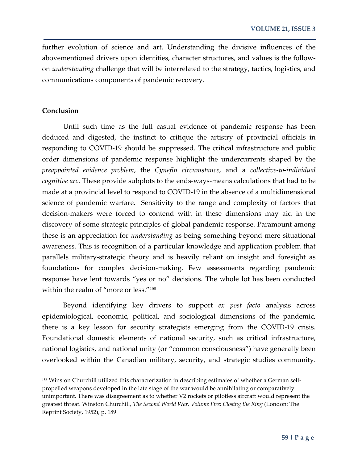further evolution of science and art. Understanding the divisive influences of the abovementioned drivers upon identities, character structures, and values is the followon *understanding* challenge that will be interrelated to the strategy, tactics, logistics, and communications components of pandemic recovery.

## **Conclusion**

l

Until such time as the full casual evidence of pandemic response has been deduced and digested, the instinct to critique the artistry of provincial officials in responding to COVID-19 should be suppressed. The critical infrastructure and public order dimensions of pandemic response highlight the undercurrents shaped by the *preappointed evidence problem*, the *Cynefin circumstance*, and a *collective-to-individual cognitive arc*. These provide subplots to the ends-ways-means calculations that had to be made at a provincial level to respond to COVID-19 in the absence of a multidimensional science of pandemic warfare. Sensitivity to the range and complexity of factors that decision-makers were forced to contend with in these dimensions may aid in the discovery of some strategic principles of global pandemic response. Paramount among these is an appreciation for *understanding* as being something beyond mere situational awareness. This is recognition of a particular knowledge and application problem that parallels military-strategic theory and is heavily reliant on insight and foresight as foundations for complex decision-making. Few assessments regarding pandemic response have lent towards "yes or no" decisions. The whole lot has been conducted within the realm of "more or less."[158](#page-37-0) 

Beyond identifying key drivers to support *ex post facto* analysis across epidemiological, economic, political, and sociological dimensions of the pandemic, there is a key lesson for security strategists emerging from the COVID-19 crisis. Foundational domestic elements of national security, such as critical infrastructure, national logistics, and national unity (or "common consciousness") have generally been overlooked within the Canadian military, security, and strategic studies community.

<span id="page-37-0"></span><sup>158</sup> Winston Churchill utilized this characterization in describing estimates of whether a German selfpropelled weapons developed in the late stage of the war would be annihilating or comparatively unimportant. There was disagreement as to whether V2 rockets or pilotless aircraft would represent the greatest threat. Winston Churchill, *The Second World War, Volume Fire: Closing the Ring* (London: The Reprint Society, 1952), p. 189.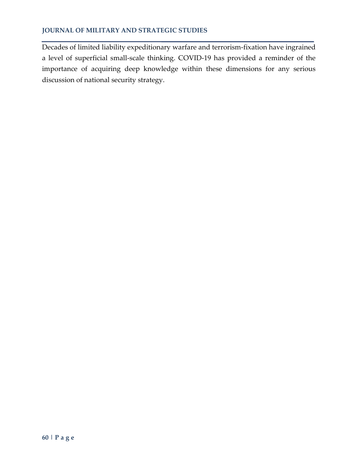Decades of limited liability expeditionary warfare and terrorism-fixation have ingrained a level of superficial small-scale thinking. COVID-19 has provided a reminder of the importance of acquiring deep knowledge within these dimensions for any serious discussion of national security strategy.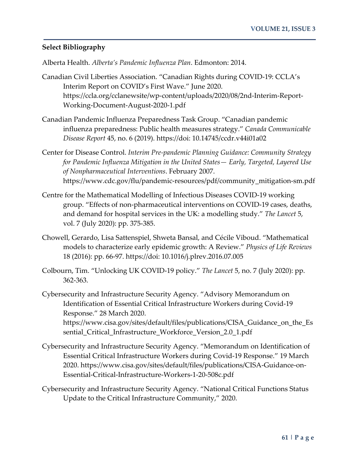# **Select Bibliography**

Alberta Health. *Alberta's Pandemic Influenza Plan*. Edmonton: 2014.

- Canadian Civil Liberties Association. "Canadian Rights during COVID-19: CCLA's Interim Report on COVID's First Wave." June 2020. https://ccla.org/cclanewsite/wp-content/uploads/2020/08/2nd-Interim-Report-Working-Document-August-2020-1.pdf
- Canadian Pandemic Influenza Preparedness Task Group. "Canadian pandemic influenza preparedness: Public health measures strategy." *Canada Communicable Disease Report* 45, no. 6 (2019). https://doi: 10.14745/ccdr.v44i01a02
- Center for Disease Control. *Interim Pre-pandemic Planning Guidance: Community Strategy for Pandemic Influenza Mitigation in the United States— Early, Targeted, Layered Use of Nonpharmaceutical Interventions*. February 2007. https://www.cdc.gov/flu/pandemic-resources/pdf/community\_mitigation-sm.pdf
- Centre for the Mathematical Modelling of Infectious Diseases COVID-19 working group. "Effects of non-pharmaceutical interventions on COVID-19 cases, deaths, and demand for hospital services in the UK: a modelling study." *The Lancet* 5, vol. 7 (July 2020): pp. 375-385.
- Chowell, Gerardo, Lisa Sattenspiel, Shweta Bansal, and Cécile Viboud. "Mathematical models to characterize early epidemic growth: A Review." *Physics of Life Reviews* 18 (2016): pp. 66-97. https://doi: 10.1016/j.plrev.2016.07.005
- Colbourn, Tim. "Unlocking UK COVID-19 policy." *The Lancet* 5, no. 7 (July 2020): pp. 362-363.
- Cybersecurity and Infrastructure Security Agency. "Advisory Memorandum on Identification of Essential Critical Infrastructure Workers during Covid-19 Response." 28 March 2020. https://www.cisa.gov/sites/default/files/publications/CISA\_Guidance\_on\_the\_Es sential\_Critical\_Infrastructure\_Workforce\_Version\_2.0\_1.pdf
- Cybersecurity and Infrastructure Security Agency. "Memorandum on Identification of Essential Critical Infrastructure Workers during Covid-19 Response." 19 March 2020. https://www.cisa.gov/sites/default/files/publications/CISA-Guidance-on-Essential-Critical-Infrastructure-Workers-1-20-508c.pdf
- Cybersecurity and Infrastructure Security Agency. "National Critical Functions Status Update to the Critical Infrastructure Community," 2020.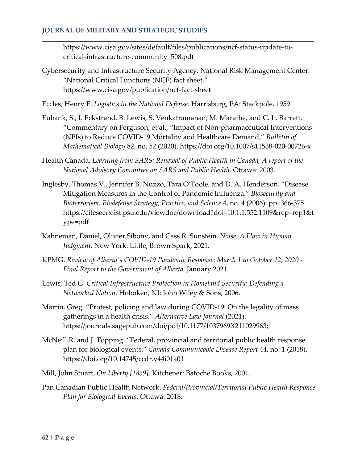https://www.cisa.gov/sites/default/files/publications/ncf-status-update-tocritical-infrastructure-community\_508.pdf

- Cybersecurity and Infrastructure Security Agency. National Risk Management Center. "National Critical Functions (NCF) fact sheet." https://www.cisa.gov/publication/ncf-fact-sheet
- Eccles, Henry E. *Logistics in the National Defense*. Harrisburg, PA: Stackpole, 1959.
- Eubank, S., I. Eckstrand, B. Lewis, S. Venkatramanan, M. Marathe, and C. L. Barrett. "Commentary on Ferguson, et al., "Impact of Non-pharmaceutical Interventions (NPIs) to Reduce COVID-19 Mortality and Healthcare Demand," *Bulletin of Mathematical Biology* 82, no. 52 (2020). https://doi.org/10.1007/s11538-020-00726-x
- Health Canada. *Learning from SARS: Renewal of Public Health in Canada, A report of the National Advisory Committee on SARS and Public Health*. Ottawa: 2003.
- Inglesby, Thomas V., Jennifer B. Nuzzo, Tara O'Toole, and D. A. Henderson. "Disease Mitigation Measures in the Control of Pandemic Influenza." *Biosecurity and Bioterrorism: Biodefense Strategy, Practice, and Science* 4, no. 4 (2006): pp. 366-375. https://citeseerx.ist.psu.edu/viewdoc/download?doi=10.1.1.552.1109&rep=rep1&t ype=pdf
- Kahneman, Daniel, Olivier Sibony, and Cass R. Sunstein. *Noise: A Flaw in Human Judgment*. New York: Little, Brown Spark, 2021.
- KPMG. *Review of Alberta's COVID-19 Pandemic Response: March 1 to October 12, 2020 - Final Report to the Government of Alberta*. January 2021.
- Lewis, Ted G. *Critical Infrastructure Protection in Homeland Security: Defending a Networked Nation.* Hoboken, NJ: John Wiley & Sons, 2006.
- Martin, Greg. "Protest, policing and law during COVID-19: On the legality of mass gatherings in a health crisis." *Alternative Law Journal* (2021). https://journals.sagepub.com/doi/pdf/10.1177/1037969X211029963;
- McNeill R. and J. Topping. "Federal, provincial and territorial public health response plan for biological events." *Canada Communicable Disease Report* 44, no. 1 (2018). https://doi.org/10.14745/ccdr.v44i01a01
- Mill, John Stuart, *On Liberty [1859]*. Kitchener: Batoche Books, 2001.
- Pan Canadian Public Health Network. *Federal/Provincial/Territorial Public Health Response Plan for Biological Events*. Ottawa: 2018.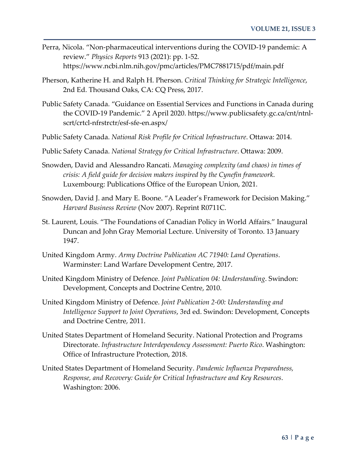- Perra, Nicola. "Non-pharmaceutical interventions during the COVID-19 pandemic: A review." *Physics Reports* 913 (2021): pp. 1-52. https://www.ncbi.nlm.nih.gov/pmc/articles/PMC7881715/pdf/main.pdf
- Pherson, Katherine H. and Ralph H. Pherson. *Critical Thinking for Strategic Intelligence*, 2nd Ed. Thousand Oaks, CA: CQ Press, 2017.
- Public Safety Canada. "Guidance on Essential Services and Functions in Canada during the COVID-19 Pandemic." 2 April 2020. https://www.publicsafety.gc.ca/cnt/ntnlscrt/crtcl-nfrstrctr/esf-sfe-en.aspx/
- Public Safety Canada. *National Risk Profile for Critical Infrastructure*. Ottawa: 2014.
- Public Safety Canada. *National Strategy for Critical Infrastructure*. Ottawa: 2009.
- Snowden, David and Alessandro Rancati. *Managing complexity (and chaos) in times of crisis: A field guide for decision makers inspired by the Cynefin framework*. Luxembourg: Publications Office of the European Union, 2021.
- Snowden, David J. and Mary E. Boone. "A Leader's Framework for Decision Making." *Harvard Business Review* (Nov 2007). Reprint R0711C.
- St. Laurent, Louis. "The Foundations of Canadian Policy in World Affairs." Inaugural Duncan and John Gray Memorial Lecture. University of Toronto. 13 January 1947.
- United Kingdom Army. *Army Doctrine Publication AC 71940: Land Operations*. Warminster: Land Warfare Development Centre, 2017.
- United Kingdom Ministry of Defence. *Joint Publication 04: Understanding*. Swindon: Development, Concepts and Doctrine Centre, 2010.
- United Kingdom Ministry of Defence. *Joint Publication 2-00: Understanding and Intelligence Support to Joint Operations*, 3rd ed. Swindon: Development, Concepts and Doctrine Centre, 2011.
- United States Department of Homeland Security. National Protection and Programs Directorate. *Infrastructure Interdependency Assessment: Puerto Rico*. Washington: Office of Infrastructure Protection, 2018.
- United States Department of Homeland Security. *Pandemic Influenza Preparedness, Response, and Recovery: Guide for Critical Infrastructure and Key Resources*. Washington: 2006.